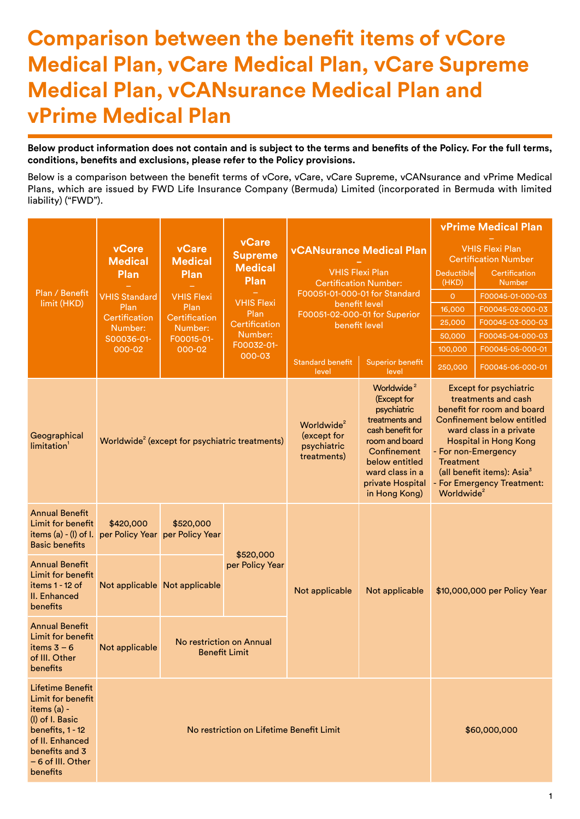## **Comparison between the benefit items of vCore Medical Plan, vCare Medical Plan, vCare Supreme Medical Plan, vCANsurance Medical Plan and vPrime Medical Plan**

**Below product information does not contain and is subject to the terms and benefits of the Policy. For the full terms, conditions, benefits and exclusions, please refer to the Policy provisions.**

Below is a comparison between the benefit terms of vCore, vCare, vCare Supreme, vCANsurance and vPrime Medical Plans, which are issued by FWD Life Insurance Company (Bermuda) Limited (incorporated in Bermuda with limited liability) ("FWD").

|                                                                                                                                                                          |                              |                                                            |                                          |                                                                          |                                                                                                                                                                                                       |                                            | <b>vPrime Medical Plan</b>                                                                                                                                                                                                                                                        |                                |  |
|--------------------------------------------------------------------------------------------------------------------------------------------------------------------------|------------------------------|------------------------------------------------------------|------------------------------------------|--------------------------------------------------------------------------|-------------------------------------------------------------------------------------------------------------------------------------------------------------------------------------------------------|--------------------------------------------|-----------------------------------------------------------------------------------------------------------------------------------------------------------------------------------------------------------------------------------------------------------------------------------|--------------------------------|--|
|                                                                                                                                                                          | vCore<br>Medical             | <b>vCare</b><br><b>Medical</b>                             | <b>vCare</b><br><b>Supreme</b>           |                                                                          | <b>vCANsurance Medical Plan</b>                                                                                                                                                                       |                                            | <b>VHIS Flexi Plan</b><br><b>Certification Number</b>                                                                                                                                                                                                                             |                                |  |
|                                                                                                                                                                          | Plan                         | Plan                                                       | Plan                                     | <b>Medical</b><br><b>VHIS Flexi Plan</b><br><b>Certification Number:</b> |                                                                                                                                                                                                       |                                            | Deductible<br>(HKD)                                                                                                                                                                                                                                                               | Certification<br><b>Number</b> |  |
| Plan / Benefit                                                                                                                                                           | <b>VHIS Standard</b>         | <b>VHIS Flexi</b>                                          |                                          |                                                                          | F00051-01-000-01 for Standard                                                                                                                                                                         | $\circ$                                    | F00045-01-000-03                                                                                                                                                                                                                                                                  |                                |  |
| limit (HKD)                                                                                                                                                              | Plan                         | Plan                                                       | Plan                                     | <b>VHIS Flexi</b><br>benefit level<br>F00051-02-000-01 for Superior      |                                                                                                                                                                                                       |                                            | F00045-02-000-03                                                                                                                                                                                                                                                                  |                                |  |
|                                                                                                                                                                          | Certification                | Certification<br>Number:                                   | Certification                            |                                                                          | benefit level                                                                                                                                                                                         | 25,000                                     | F00045-03-000-03                                                                                                                                                                                                                                                                  |                                |  |
|                                                                                                                                                                          | Number:<br>S00036-01-        | F00015-01-                                                 | Number:                                  |                                                                          |                                                                                                                                                                                                       | 50,000                                     | F00045-04-000-03                                                                                                                                                                                                                                                                  |                                |  |
|                                                                                                                                                                          | 000-02                       | 000-02                                                     | F00032-01-                               |                                                                          |                                                                                                                                                                                                       | 100,000                                    | F00045-05-000-01                                                                                                                                                                                                                                                                  |                                |  |
|                                                                                                                                                                          |                              |                                                            | 000-03                                   | <b>Standard benefit</b><br>level                                         | <b>Superior benefit</b><br>level                                                                                                                                                                      | 250,000                                    | F00045-06-000-01                                                                                                                                                                                                                                                                  |                                |  |
| Geographical<br>limitation <sup>1</sup>                                                                                                                                  |                              | Worldwide <sup>2</sup> (except for psychiatric treatments) |                                          | Worldwide <sup>2</sup><br>(except for<br>psychiatric<br>treatments)      | Worldwide <sup>2</sup><br>(Except for<br>psychiatric<br>treatments and<br>cash benefit for<br>room and board<br>Confinement<br>below entitled<br>ward class in a<br>private Hospital<br>in Hong Kong) | <b>Treatment</b><br>Worldwide <sup>2</sup> | <b>Except for psychiatric</b><br>treatments and cash<br>benefit for room and board<br><b>Confinement below entitled</b><br>ward class in a private<br><b>Hospital in Hong Kong</b><br>- For non-Emergency<br>(all benefit items): Asia <sup>3</sup><br>- For Emergency Treatment: |                                |  |
| <b>Annual Benefit</b><br>Limit for benefit<br>items $(a) - (I)$ of I.<br><b>Basic benefits</b>                                                                           | \$420,000<br>per Policy Year | \$520,000<br>per Policy Year                               |                                          |                                                                          |                                                                                                                                                                                                       |                                            |                                                                                                                                                                                                                                                                                   |                                |  |
| <b>Annual Benefit</b><br>Limit for benefit<br>items 1 - 12 of<br>II. Enhanced<br>benefits                                                                                |                              | Not applicable Not applicable                              | \$520,000<br>per Policy Year             | Not applicable                                                           | Not applicable                                                                                                                                                                                        |                                            | \$10,000,000 per Policy Year                                                                                                                                                                                                                                                      |                                |  |
| <b>Annual Benefit</b><br>Limit for benefit<br>items $3 - 6$<br>of III. Other<br>benefits                                                                                 | Not applicable               | No restriction on Annual                                   | <b>Benefit Limit</b>                     |                                                                          |                                                                                                                                                                                                       |                                            |                                                                                                                                                                                                                                                                                   |                                |  |
| <b>Lifetime Benefit</b><br>Limit for benefit<br>items (a) -<br>(I) of I. Basic<br>benefits, 1 - 12<br>of II. Enhanced<br>benefits and 3<br>- 6 of III. Other<br>benefits |                              |                                                            | No restriction on Lifetime Benefit Limit |                                                                          |                                                                                                                                                                                                       |                                            | \$60,000,000                                                                                                                                                                                                                                                                      |                                |  |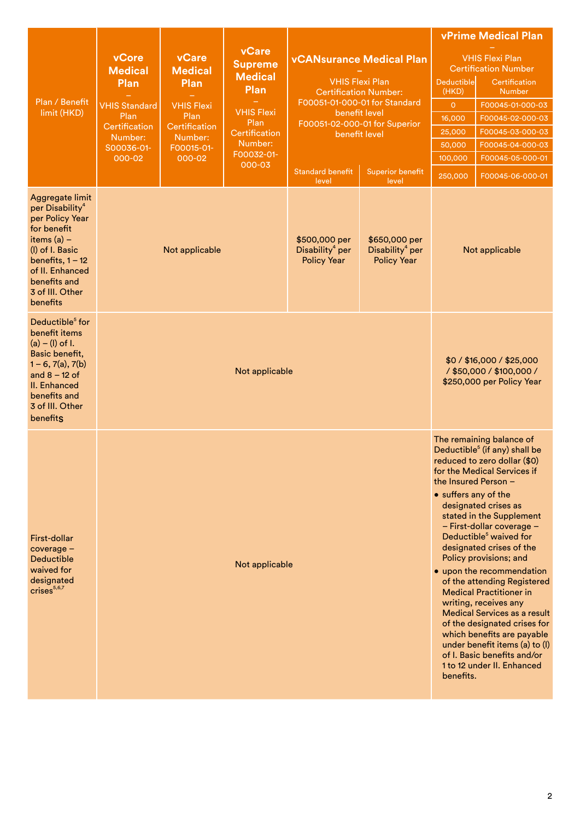|                                                                                                                                                                                                              |                                 |                                 |                                                          |                                                                    | <b>vPrime Medical Plan</b>                                                                |                                                           |                                                                                                                                                                                                                                                                                                                                                                                                                                                                                                                                                                                                                                              |  |
|--------------------------------------------------------------------------------------------------------------------------------------------------------------------------------------------------------------|---------------------------------|---------------------------------|----------------------------------------------------------|--------------------------------------------------------------------|-------------------------------------------------------------------------------------------|-----------------------------------------------------------|----------------------------------------------------------------------------------------------------------------------------------------------------------------------------------------------------------------------------------------------------------------------------------------------------------------------------------------------------------------------------------------------------------------------------------------------------------------------------------------------------------------------------------------------------------------------------------------------------------------------------------------------|--|
|                                                                                                                                                                                                              | vCore<br><b>Medical</b><br>Plan | vCare<br><b>Medical</b><br>Plan | <b>vCare</b><br><b>Supreme</b><br><b>Medical</b><br>Plan |                                                                    | <b>vCANsurance Medical Plan</b><br><b>VHIS Flexi Plan</b><br><b>Certification Number:</b> | <b>Deductible</b><br>(HKD)                                | <b>VHIS Flexi Plan</b><br><b>Certification Number</b><br>Certification<br><b>Number</b>                                                                                                                                                                                                                                                                                                                                                                                                                                                                                                                                                      |  |
| Plan / Benefit                                                                                                                                                                                               | <b>VHIS Standard</b>            | <b>VHIS Flexi</b>               |                                                          |                                                                    | F00051-01-000-01 for Standard                                                             | $\circ$                                                   | F00045-01-000-03                                                                                                                                                                                                                                                                                                                                                                                                                                                                                                                                                                                                                             |  |
| limit (HKD)                                                                                                                                                                                                  | Plan                            | Plan                            | <b>VHIS Flexi</b><br>Plan                                | benefit level<br>F00051-02-000-01 for Superior                     |                                                                                           |                                                           | F00045-02-000-03                                                                                                                                                                                                                                                                                                                                                                                                                                                                                                                                                                                                                             |  |
|                                                                                                                                                                                                              | Certification<br>Number:        | Certification<br>Number:        | Certification                                            | benefit level                                                      |                                                                                           | 25,000<br>F00045-03-000-03                                |                                                                                                                                                                                                                                                                                                                                                                                                                                                                                                                                                                                                                                              |  |
|                                                                                                                                                                                                              | S00036-01-                      | F00015-01-                      | Number:                                                  |                                                                    |                                                                                           | F00045-04-000-03<br>50,000                                |                                                                                                                                                                                                                                                                                                                                                                                                                                                                                                                                                                                                                                              |  |
|                                                                                                                                                                                                              | 000-02<br>000-02                |                                 | F00032-01-<br>000-03                                     |                                                                    |                                                                                           | 100,000                                                   | F00045-05-000-01                                                                                                                                                                                                                                                                                                                                                                                                                                                                                                                                                                                                                             |  |
|                                                                                                                                                                                                              |                                 |                                 |                                                          | <b>Standard benefit</b><br>level                                   | <b>Superior benefit</b><br>level                                                          | 250,000                                                   | F00045-06-000-01                                                                                                                                                                                                                                                                                                                                                                                                                                                                                                                                                                                                                             |  |
| Aggregate limit<br>per Disability <sup>4</sup><br>per Policy Year<br>for benefit<br>items $(a)$ –<br>(I) of I. Basic<br>benefits, $1 - 12$<br>of II. Enhanced<br>benefits and<br>3 of III. Other<br>benefits |                                 | Not applicable                  |                                                          | \$500,000 per<br>Disability <sup>4</sup> per<br><b>Policy Year</b> | \$650,000 per<br>Disability <sup>4</sup> per<br><b>Policy Year</b>                        | Not applicable                                            |                                                                                                                                                                                                                                                                                                                                                                                                                                                                                                                                                                                                                                              |  |
| Deductible <sup>5</sup> for<br>benefit items<br>$(a) - (I)$ of I.<br>Basic benefit,<br>$1 - 6$ , $7(a)$ , $7(b)$<br>and $8 - 12$ of<br>II. Enhanced<br>benefits and<br>3 of III. Other<br>benefits           |                                 |                                 | Not applicable                                           |                                                                    |                                                                                           |                                                           | \$0/\$16,000/\$25,000<br>/ \$50,000 / \$100,000 /<br>\$250,000 per Policy Year                                                                                                                                                                                                                                                                                                                                                                                                                                                                                                                                                               |  |
| First-dollar<br>coverage -<br><b>Deductible</b><br>waived for<br>designated<br>crises <sup>5,6,7</sup>                                                                                                       |                                 |                                 | Not applicable                                           |                                                                    |                                                                                           | the Insured Person -<br>• suffers any of the<br>benefits. | The remaining balance of<br>Deductible <sup>5</sup> (if any) shall be<br>reduced to zero dollar (\$0)<br>for the Medical Services if<br>designated crises as<br>stated in the Supplement<br>- First-dollar coverage -<br>Deductible <sup>5</sup> waived for<br>designated crises of the<br>Policy provisions; and<br>• upon the recommendation<br>of the attending Registered<br><b>Medical Practitioner in</b><br>writing, receives any<br><b>Medical Services as a result</b><br>of the designated crises for<br>which benefits are payable<br>under benefit items (a) to (I)<br>of I. Basic benefits and/or<br>1 to 12 under II. Enhanced |  |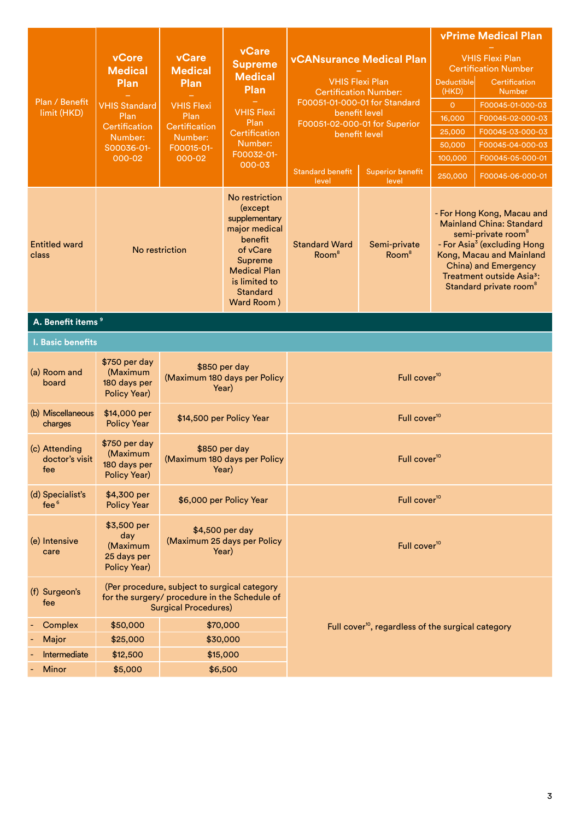|                                        | vCore                                                                                                                    | <b>vCare</b>                                                                                                                                                                  | vCare<br><b>Supreme</b>                                |                                                | <b>vCANsurance Medical Plan</b>                                |                            | <b>vPrime Medical Plan</b><br><b>VHIS Flexi Plan</b>                                                                                                                                                                                                                          |
|----------------------------------------|--------------------------------------------------------------------------------------------------------------------------|-------------------------------------------------------------------------------------------------------------------------------------------------------------------------------|--------------------------------------------------------|------------------------------------------------|----------------------------------------------------------------|----------------------------|-------------------------------------------------------------------------------------------------------------------------------------------------------------------------------------------------------------------------------------------------------------------------------|
|                                        | <b>Medical</b><br>Plan                                                                                                   | <b>Medical</b><br>Plan                                                                                                                                                        | <b>Medical</b><br><b>Plan</b>                          |                                                | <b>VHIS Flexi Plan</b><br><b>Certification Number:</b>         | <b>Deductible</b><br>(HKD) | <b>Certification Number</b><br>Certification<br><b>Number</b>                                                                                                                                                                                                                 |
| Plan / Benefit                         | <b>VHIS Standard</b>                                                                                                     | <b>VHIS Flexi</b>                                                                                                                                                             | F00051-01-000-01 for Standard                          |                                                |                                                                | $\overline{O}$             | F00045-01-000-03                                                                                                                                                                                                                                                              |
| limit (HKD)                            | Plan                                                                                                                     | Plan                                                                                                                                                                          | <b>VHIS Flexi</b><br>Plan                              | benefit level                                  |                                                                | 16,000                     | F00045-02-000-03                                                                                                                                                                                                                                                              |
|                                        | Certification<br>Number:                                                                                                 | Certification<br>Number:                                                                                                                                                      | Certification                                          | F00051-02-000-01 for Superior<br>benefit level |                                                                | 25,000                     | F00045-03-000-03                                                                                                                                                                                                                                                              |
|                                        | S00036-01-                                                                                                               | F00015-01-                                                                                                                                                                    | Number:                                                |                                                |                                                                | 50,000                     | F00045-04-000-03                                                                                                                                                                                                                                                              |
|                                        | 000-02                                                                                                                   | 000-02                                                                                                                                                                        | F00032-01-<br>000-03                                   |                                                |                                                                | 100,000                    | F00045-05-000-01                                                                                                                                                                                                                                                              |
|                                        |                                                                                                                          |                                                                                                                                                                               |                                                        | <b>Standard benefit</b><br>level               | <b>Superior benefit</b><br>level                               | 250,000                    | F00045-06-000-01                                                                                                                                                                                                                                                              |
| <b>Entitled ward</b><br>class          | No restriction                                                                                                           | No restriction<br>(except<br>supplementary<br>major medical<br>benefit<br>of vCare<br><b>Supreme</b><br><b>Medical Plan</b><br>is limited to<br><b>Standard</b><br>Ward Room) |                                                        | <b>Standard Ward</b><br>Room <sup>8</sup>      | Semi-private<br>Room <sup>8</sup>                              |                            | - For Hong Kong, Macau and<br><b>Mainland China: Standard</b><br>semi-private room <sup>®</sup><br>- For Asia <sup>3</sup> (excluding Hong<br>Kong, Macau and Mainland<br>China) and Emergency<br>Treatment outside Asia <sup>3</sup> :<br>Standard private room <sup>8</sup> |
| A. Benefit items <sup>9</sup>          |                                                                                                                          |                                                                                                                                                                               |                                                        |                                                |                                                                |                            |                                                                                                                                                                                                                                                                               |
| I. Basic benefits                      |                                                                                                                          |                                                                                                                                                                               |                                                        |                                                |                                                                |                            |                                                                                                                                                                                                                                                                               |
| (a) Room and<br>board                  | \$750 per day<br>(Maximum<br>180 days per<br>Policy Year)                                                                |                                                                                                                                                                               | \$850 per day<br>(Maximum 180 days per Policy<br>Year) |                                                | Full cover <sup>10</sup>                                       |                            |                                                                                                                                                                                                                                                                               |
| (b) Miscellaneous<br>charges           | \$14,000 per<br><b>Policy Year</b>                                                                                       |                                                                                                                                                                               | \$14,500 per Policy Year                               | Full cover <sup>10</sup>                       |                                                                |                            |                                                                                                                                                                                                                                                                               |
| (c) Attending<br>doctor's visit<br>fee | \$750 per day<br>(Maximum<br>180 days per<br>Policy Year)                                                                |                                                                                                                                                                               | \$850 per day<br>(Maximum 180 days per Policy<br>Year) | Full cover <sup>10</sup>                       |                                                                |                            |                                                                                                                                                                                                                                                                               |
| (d) Specialist's<br>fee <sup>6</sup>   | \$4,300 per<br><b>Policy Year</b>                                                                                        |                                                                                                                                                                               | \$6,000 per Policy Year                                |                                                | Full cover <sup>10</sup>                                       |                            |                                                                                                                                                                                                                                                                               |
| (e) Intensive<br>care                  | \$3,500 per<br>\$4,500 per day<br>day<br>(Maximum 25 days per Policy<br>(Maximum<br>Year)<br>25 days per<br>Policy Year) |                                                                                                                                                                               |                                                        | Full cover <sup>10</sup>                       |                                                                |                            |                                                                                                                                                                                                                                                                               |
| (f) Surgeon's<br>fee                   |                                                                                                                          | (Per procedure, subject to surgical category<br>for the surgery/ procedure in the Schedule of<br><b>Surgical Procedures)</b>                                                  |                                                        |                                                |                                                                |                            |                                                                                                                                                                                                                                                                               |
| Complex                                | \$50,000                                                                                                                 |                                                                                                                                                                               | \$70,000                                               |                                                | Full cover <sup>10</sup> , regardless of the surgical category |                            |                                                                                                                                                                                                                                                                               |
| Major                                  | \$25,000                                                                                                                 |                                                                                                                                                                               | \$30,000                                               |                                                |                                                                |                            |                                                                                                                                                                                                                                                                               |
| Intermediate                           | \$12,500                                                                                                                 |                                                                                                                                                                               | \$15,000                                               |                                                |                                                                |                            |                                                                                                                                                                                                                                                                               |
| <b>Minor</b>                           | \$5,000                                                                                                                  |                                                                                                                                                                               | \$6,500                                                |                                                |                                                                |                            |                                                                                                                                                                                                                                                                               |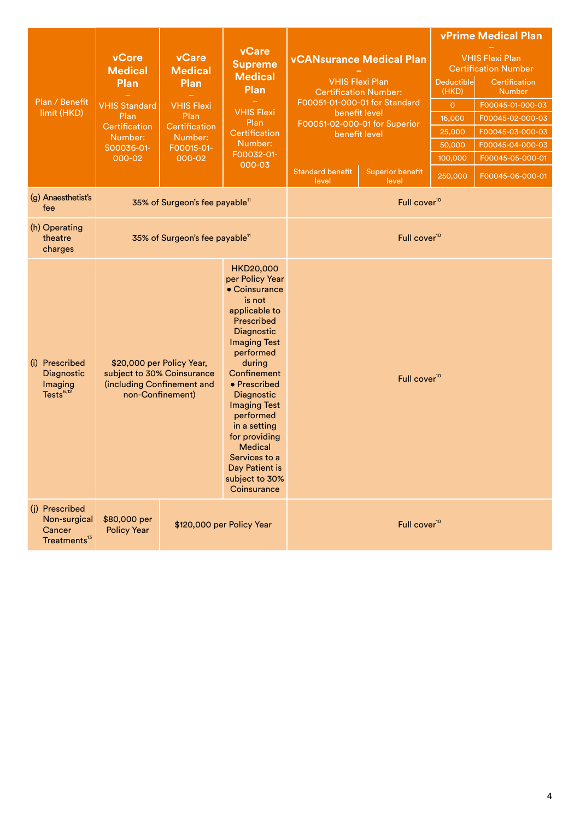|                                                                      |                                                                                                                     |                                                                                                                  |                                                                                                                                                                                                                                                                                                                                                                                                                                                                                                          |                          |                          |  | <b>vPrime Medical Plan</b>                                                                                                                                                                                      |  |
|----------------------------------------------------------------------|---------------------------------------------------------------------------------------------------------------------|------------------------------------------------------------------------------------------------------------------|----------------------------------------------------------------------------------------------------------------------------------------------------------------------------------------------------------------------------------------------------------------------------------------------------------------------------------------------------------------------------------------------------------------------------------------------------------------------------------------------------------|--------------------------|--------------------------|--|-----------------------------------------------------------------------------------------------------------------------------------------------------------------------------------------------------------------|--|
| Plan / Benefit<br>limit (HKD)                                        | vCore<br><b>Medical</b><br>Plan<br><b>VHIS Standard</b><br>Plan<br>Certification<br>Number:<br>S00036-01-<br>000-02 | vCare<br><b>Medical</b><br>Plan<br><b>VHIS Flexi</b><br>Plan<br>Certification<br>Number:<br>F00015-01-<br>000-02 | vCare<br><b>vCANsurance Medical Plan</b><br><b>Supreme</b><br><b>Medical</b><br><b>VHIS Flexi Plan</b><br>Deductible<br>Plan<br><b>Certification Number:</b><br>(HKD)<br>F00051-01-000-01 for Standard<br>$\overline{O}$<br><b>VHIS Flexi</b><br>benefit level<br>16,000<br>Plan<br>F00051-02-000-01 for Superior<br>25,000<br>Certification<br>benefit level<br>Number:<br>50,000<br>F00032-01-<br>100,000<br>000-03<br><b>Standard benefit</b><br><b>Superior benefit</b><br>250,000<br>level<br>level |                          |                          |  | <b>VHIS Flexi Plan</b><br><b>Certification Number</b><br>Certification<br><b>Number</b><br>F00045-01-000-03<br>F00045-02-000-03<br>F00045-03-000-03<br>F00045-04-000-03<br>F00045-05-000-01<br>F00045-06-000-01 |  |
| (g) Anaesthetist's<br>fee                                            |                                                                                                                     | 35% of Surgeon's fee payable <sup>11</sup>                                                                       |                                                                                                                                                                                                                                                                                                                                                                                                                                                                                                          |                          | Full cover <sup>10</sup> |  |                                                                                                                                                                                                                 |  |
| (h) Operating<br>theatre<br>charges                                  |                                                                                                                     | 35% of Surgeon's fee payable <sup>11</sup>                                                                       |                                                                                                                                                                                                                                                                                                                                                                                                                                                                                                          | Full cover <sup>10</sup> |                          |  |                                                                                                                                                                                                                 |  |
| (i) Prescribed<br>Diagnostic<br>Imaging<br>Tests <sup>6,12</sup>     | \$20,000 per Policy Year,<br>subject to 30% Coinsurance<br>(including Confinement and<br>non-Confinement)           |                                                                                                                  | <b>HKD20,000</b><br>per Policy Year<br>$\bullet$ Coinsurance<br>is not<br>applicable to<br>Prescribed<br>Diagnostic<br><b>Imaging Test</b><br>performed<br>during<br>Confinement<br>• Prescribed<br>Diagnostic<br><b>Imaging Test</b><br>performed<br>in a setting<br>for providing<br><b>Medical</b><br>Services to a<br>Day Patient is<br>subject to 30%<br>Coinsurance                                                                                                                                |                          | Full cover <sup>10</sup> |  |                                                                                                                                                                                                                 |  |
| (j) Prescribed<br>Non-surgical<br>Cancer<br>Treatments <sup>13</sup> | \$80,000 per<br><b>Policy Year</b>                                                                                  |                                                                                                                  | \$120,000 per Policy Year                                                                                                                                                                                                                                                                                                                                                                                                                                                                                |                          | Full cover <sup>10</sup> |  |                                                                                                                                                                                                                 |  |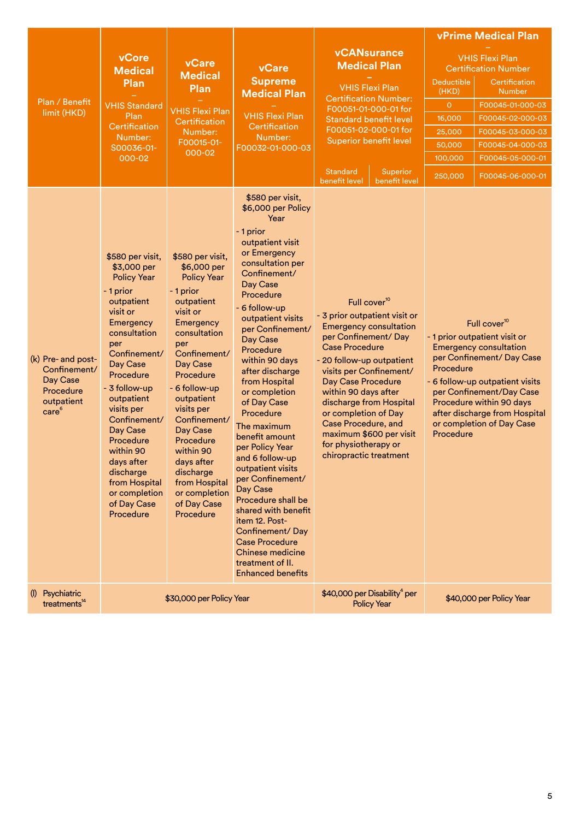|                                                                                                |                                                                                                                                                                                                                                                                                                                                                                       |                                                                                                                                                                                                                                                                                                                                                                       |                                                                                                                                                                                                                                                                                                                                                                                                                                                                                                                                                                                                                                                               |                                                                                                                                                                                                                                                                                                                                                                                                         |                                                                                                  | <b>vPrime Medical Plan</b>                                                                                                                                                                                                                                                       |
|------------------------------------------------------------------------------------------------|-----------------------------------------------------------------------------------------------------------------------------------------------------------------------------------------------------------------------------------------------------------------------------------------------------------------------------------------------------------------------|-----------------------------------------------------------------------------------------------------------------------------------------------------------------------------------------------------------------------------------------------------------------------------------------------------------------------------------------------------------------------|---------------------------------------------------------------------------------------------------------------------------------------------------------------------------------------------------------------------------------------------------------------------------------------------------------------------------------------------------------------------------------------------------------------------------------------------------------------------------------------------------------------------------------------------------------------------------------------------------------------------------------------------------------------|---------------------------------------------------------------------------------------------------------------------------------------------------------------------------------------------------------------------------------------------------------------------------------------------------------------------------------------------------------------------------------------------------------|--------------------------------------------------------------------------------------------------|----------------------------------------------------------------------------------------------------------------------------------------------------------------------------------------------------------------------------------------------------------------------------------|
| Plan / Benefit<br>limit (HKD)                                                                  | vCore<br><b>Medical</b><br>Plan<br><b>VHIS Standard</b><br>Plan<br>Certification<br>Number:<br>S00036-01-<br>000-02                                                                                                                                                                                                                                                   | <b>vCare</b><br><b>Medical</b><br><b>Plan</b><br><b>VHIS Flexi Plan</b><br>Certification<br>Number:<br>F00015-01-<br>000-02                                                                                                                                                                                                                                           | vCare<br><b>Supreme</b><br><b>Medical Plan</b><br><b>VHIS Flexi Plan</b><br>Certification<br>Number:<br>F00032-01-000-03                                                                                                                                                                                                                                                                                                                                                                                                                                                                                                                                      | <b>vCANsurance</b><br><b>Medical Plan</b><br><b>VHIS Flexi Plan</b><br><b>Certification Number:</b><br>F00051-01-000-01 for<br><b>Standard benefit level</b><br>F00051-02-000-01 for<br><b>Superior benefit level</b><br><b>Standard</b><br>Superior<br>benefit level<br>benefit level                                                                                                                  | <b>Deductible</b><br>(HKD)<br>$\overline{0}$<br>16,000<br>25,000<br>50.000<br>100,000<br>250,000 | <b>VHIS Flexi Plan</b><br><b>Certification Number</b><br>Certification<br><b>Number</b><br>F00045-01-000-03<br>F00045-02-000-03<br>F00045-03-000-03<br>F00045-04-000-03<br>F00045-05-000-01<br>F00045-06-000-01                                                                  |
| (k) Pre- and post-<br>Confinement/<br>Day Case<br>Procedure<br>outpatient<br>care <sup>6</sup> | \$580 per visit,<br>\$3,000 per<br><b>Policy Year</b><br>- 1 prior<br>outpatient<br>visit or<br>Emergency<br>consultation<br>per<br>Confinement/<br>Day Case<br>Procedure<br>- 3 follow-up<br>outpatient<br>visits per<br>Confinement/<br>Day Case<br>Procedure<br>within 90<br>days after<br>discharge<br>from Hospital<br>or completion<br>of Day Case<br>Procedure | \$580 per visit,<br>\$6,000 per<br><b>Policy Year</b><br>- 1 prior<br>outpatient<br>visit or<br>Emergency<br>consultation<br>per<br>Confinement/<br>Day Case<br>Procedure<br>- 6 follow-up<br>outpatient<br>visits per<br>Confinement/<br>Day Case<br>Procedure<br>within 90<br>days after<br>discharge<br>from Hospital<br>or completion<br>of Day Case<br>Procedure | \$580 per visit,<br>\$6,000 per Policy<br>Year<br>- 1 prior<br>outpatient visit<br>or Emergency<br>consultation per<br>Confinement/<br>Day Case<br>Procedure<br>- 6 follow-up<br>outpatient visits<br>per Confinement/<br>Day Case<br>Procedure<br>within 90 days<br>after discharge<br>from Hospital<br>or completion<br>of Day Case<br>Procedure<br>The maximum<br>benefit amount<br>per Policy Year<br>and 6 follow-up<br>outpatient visits<br>per Confinement/<br>Day Case<br>Procedure shall be<br>shared with benefit<br>item 12. Post-<br>Confinement/Day<br><b>Case Procedure</b><br>Chinese medicine<br>treatment of II.<br><b>Enhanced benefits</b> | Full cover <sup>10</sup><br>- 3 prior outpatient visit or<br><b>Emergency consultation</b><br>per Confinement/Day<br><b>Case Procedure</b><br>- 20 follow-up outpatient<br>visits per Confinement/<br>Day Case Procedure<br>within 90 days after<br>discharge from Hospital<br>or completion of Day<br>Case Procedure, and<br>maximum \$600 per visit<br>for physiotherapy or<br>chiropractic treatment | Procedure<br>Procedure                                                                           | Full cover <sup>10</sup><br>- 1 prior outpatient visit or<br><b>Emergency consultation</b><br>per Confinement/ Day Case<br>- 6 follow-up outpatient visits<br>per Confinement/Day Case<br>Procedure within 90 days<br>after discharge from Hospital<br>or completion of Day Case |
| (I) Psychiatric<br>treatments <sup>14</sup>                                                    |                                                                                                                                                                                                                                                                                                                                                                       | \$30,000 per Policy Year                                                                                                                                                                                                                                                                                                                                              |                                                                                                                                                                                                                                                                                                                                                                                                                                                                                                                                                                                                                                                               | \$40,000 per Disability <sup>4</sup> per<br><b>Policy Year</b>                                                                                                                                                                                                                                                                                                                                          |                                                                                                  | \$40,000 per Policy Year                                                                                                                                                                                                                                                         |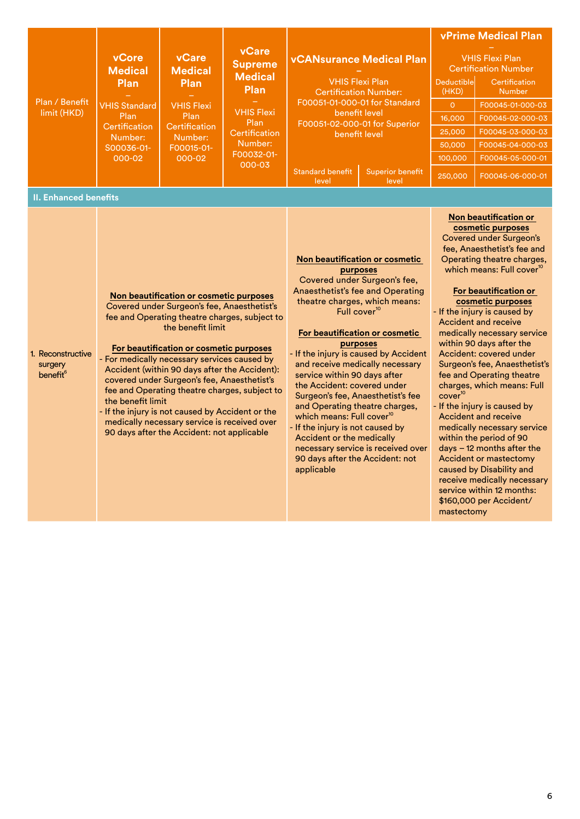|                                                      |                          |                                                                                                                                                                                                                                                                                                                                                                                                                                                                                                           |                                               |                                                                                                                                                                                                                                                                                                                                                                                                                                                                                                                                    |                                                                                                        |                                                       | <b>vPrime Medical Plan</b>                                                                                                                                                                                                                                                                                                                                                                                                                                                                                                                                                                                                                                                                                                      |  |
|------------------------------------------------------|--------------------------|-----------------------------------------------------------------------------------------------------------------------------------------------------------------------------------------------------------------------------------------------------------------------------------------------------------------------------------------------------------------------------------------------------------------------------------------------------------------------------------------------------------|-----------------------------------------------|------------------------------------------------------------------------------------------------------------------------------------------------------------------------------------------------------------------------------------------------------------------------------------------------------------------------------------------------------------------------------------------------------------------------------------------------------------------------------------------------------------------------------------|--------------------------------------------------------------------------------------------------------|-------------------------------------------------------|---------------------------------------------------------------------------------------------------------------------------------------------------------------------------------------------------------------------------------------------------------------------------------------------------------------------------------------------------------------------------------------------------------------------------------------------------------------------------------------------------------------------------------------------------------------------------------------------------------------------------------------------------------------------------------------------------------------------------------|--|
|                                                      | vCore<br><b>Medical</b>  | vCare<br><b>Medical</b>                                                                                                                                                                                                                                                                                                                                                                                                                                                                                   | vCare<br><b>Supreme</b>                       | <b>vCANsurance Medical Plan</b>                                                                                                                                                                                                                                                                                                                                                                                                                                                                                                    |                                                                                                        | <b>VHIS Flexi Plan</b><br><b>Certification Number</b> |                                                                                                                                                                                                                                                                                                                                                                                                                                                                                                                                                                                                                                                                                                                                 |  |
|                                                      | Plan                     | Plan                                                                                                                                                                                                                                                                                                                                                                                                                                                                                                      | <b>Medical</b><br>Plan                        | <b>VHIS Flexi Plan</b>                                                                                                                                                                                                                                                                                                                                                                                                                                                                                                             | <b>Certification Number:</b>                                                                           | Deductible<br>(HKD)                                   | Certification<br><b>Number</b>                                                                                                                                                                                                                                                                                                                                                                                                                                                                                                                                                                                                                                                                                                  |  |
| Plan / Benefit                                       | <b>VHIS Standard</b>     | <b>VHIS Flexi</b>                                                                                                                                                                                                                                                                                                                                                                                                                                                                                         |                                               | F00051-01-000-01 for Standard                                                                                                                                                                                                                                                                                                                                                                                                                                                                                                      |                                                                                                        | $\overline{O}$                                        | F00045-01-000-03                                                                                                                                                                                                                                                                                                                                                                                                                                                                                                                                                                                                                                                                                                                |  |
| limit (HKD)                                          | Plan                     | Plan                                                                                                                                                                                                                                                                                                                                                                                                                                                                                                      | <b>VHIS Flexi</b><br>Plan                     | benefit level                                                                                                                                                                                                                                                                                                                                                                                                                                                                                                                      | F00051-02-000-01 for Superior                                                                          | 16,000                                                | F00045-02-000-03                                                                                                                                                                                                                                                                                                                                                                                                                                                                                                                                                                                                                                                                                                                |  |
|                                                      | Certification<br>Number: | Certification<br>Number:<br>F00015-01-<br>000-02                                                                                                                                                                                                                                                                                                                                                                                                                                                          | Certification                                 | benefit level                                                                                                                                                                                                                                                                                                                                                                                                                                                                                                                      |                                                                                                        | 25,000                                                | F00045-03-000-03                                                                                                                                                                                                                                                                                                                                                                                                                                                                                                                                                                                                                                                                                                                |  |
|                                                      | S00036-01-               |                                                                                                                                                                                                                                                                                                                                                                                                                                                                                                           | Number:                                       |                                                                                                                                                                                                                                                                                                                                                                                                                                                                                                                                    |                                                                                                        | 50,000                                                | F00045-04-000-03                                                                                                                                                                                                                                                                                                                                                                                                                                                                                                                                                                                                                                                                                                                |  |
|                                                      | 000-02                   |                                                                                                                                                                                                                                                                                                                                                                                                                                                                                                           | F00032-01-<br>000-03                          |                                                                                                                                                                                                                                                                                                                                                                                                                                                                                                                                    |                                                                                                        | 100,000                                               | F00045-05-000-01                                                                                                                                                                                                                                                                                                                                                                                                                                                                                                                                                                                                                                                                                                                |  |
|                                                      |                          |                                                                                                                                                                                                                                                                                                                                                                                                                                                                                                           |                                               | <b>Standard benefit</b><br><b>Superior benefit</b><br>level<br>level                                                                                                                                                                                                                                                                                                                                                                                                                                                               |                                                                                                        | 250,000                                               | F00045-06-000-01                                                                                                                                                                                                                                                                                                                                                                                                                                                                                                                                                                                                                                                                                                                |  |
| <b>II. Enhanced benefits</b>                         |                          |                                                                                                                                                                                                                                                                                                                                                                                                                                                                                                           |                                               |                                                                                                                                                                                                                                                                                                                                                                                                                                                                                                                                    |                                                                                                        |                                                       |                                                                                                                                                                                                                                                                                                                                                                                                                                                                                                                                                                                                                                                                                                                                 |  |
| 1. Reconstructive<br>surgery<br>benefit <sup>6</sup> | the benefit limit        | Non beautification or cosmetic purposes<br>Covered under Surgeon's fee, Anaesthetist's<br>the benefit limit<br>For beautification or cosmetic purposes<br>- For medically necessary services caused by<br>Accident (within 90 days after the Accident):<br>covered under Surgeon's fee, Anaesthetist's<br>fee and Operating theatre charges, subject to<br>- If the injury is not caused by Accident or the<br>medically necessary service is received over<br>90 days after the Accident: not applicable | fee and Operating theatre charges, subject to | purposes<br>Covered under Surgeon's fee,<br>Anaesthetist's fee and Operating<br>theatre charges, which means:<br>Full cover <sup>10</sup><br>purposes<br>- If the injury is caused by Accident<br>and receive medically necessary<br>service within 90 days after<br>the Accident: covered under<br>Surgeon's fee, Anaesthetist's fee<br>and Operating theatre charges,<br>which means: Full cover <sup>10</sup><br>- If the injury is not caused by<br>Accident or the medically<br>90 days after the Accident: not<br>applicable | Non beautification or cosmetic<br>For beautification or cosmetic<br>necessary service is received over | cover <sup>10</sup>                                   | Non beautification or<br>cosmetic purposes<br>Covered under Surgeon's<br>fee, Anaesthetist's fee and<br>Operating theatre charges,<br>which means: Full cover <sup>10</sup><br>For beautification or<br>cosmetic purposes<br>- If the injury is caused by<br><b>Accident and receive</b><br>medically necessary service<br>within 90 days after the<br>Accident: covered under<br>Surgeon's fee, Anaesthetist's<br>fee and Operating theatre<br>charges, which means: Full<br>- If the injury is caused by<br><b>Accident and receive</b><br>medically necessary service<br>within the period of 90<br>$days - 12$ months after the<br><b>Accident or mastectomy</b><br>caused by Disability and<br>receive medically necessary |  |

service within 12 months: \$160,000 per Accident/

mastectomy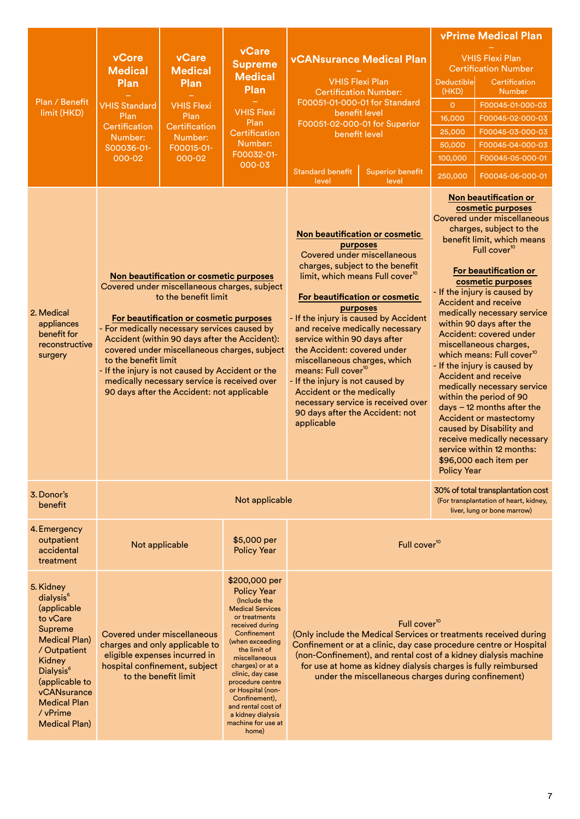|                                                                                                                                                                                                                                                 |                                                                                                                     |                                                                                                                                                                                                                                                                                                                                                                                                               |                                                                                                                                                                                                                                                                                                                                                                   |                                                                                                                                                                                                                                                                       |                                                                                                                                                                                                                                                                                                                                                                                                                                                                                                                                                                                                                                        |                                                                                                                                                                                                                                                                                                                                   | <b>vPrime Medical Plan</b>                                                                                                                                                                                                                                                                                                                                                                                                                                                                                                                                                                                                                                                                               |  |
|-------------------------------------------------------------------------------------------------------------------------------------------------------------------------------------------------------------------------------------------------|---------------------------------------------------------------------------------------------------------------------|---------------------------------------------------------------------------------------------------------------------------------------------------------------------------------------------------------------------------------------------------------------------------------------------------------------------------------------------------------------------------------------------------------------|-------------------------------------------------------------------------------------------------------------------------------------------------------------------------------------------------------------------------------------------------------------------------------------------------------------------------------------------------------------------|-----------------------------------------------------------------------------------------------------------------------------------------------------------------------------------------------------------------------------------------------------------------------|----------------------------------------------------------------------------------------------------------------------------------------------------------------------------------------------------------------------------------------------------------------------------------------------------------------------------------------------------------------------------------------------------------------------------------------------------------------------------------------------------------------------------------------------------------------------------------------------------------------------------------------|-----------------------------------------------------------------------------------------------------------------------------------------------------------------------------------------------------------------------------------------------------------------------------------------------------------------------------------|----------------------------------------------------------------------------------------------------------------------------------------------------------------------------------------------------------------------------------------------------------------------------------------------------------------------------------------------------------------------------------------------------------------------------------------------------------------------------------------------------------------------------------------------------------------------------------------------------------------------------------------------------------------------------------------------------------|--|
| Plan / Benefit<br>limit (HKD)                                                                                                                                                                                                                   | vCore<br><b>Medical</b><br>Plan<br><b>VHIS Standard</b><br>Plan<br>Certification<br>Number:<br>S00036-01-<br>000-02 | <b>vCare</b><br><b>Medical</b><br>Plan<br><b>VHIS Flexi</b><br>Plan<br>Certification<br>Number:<br>F00015-01-<br>000-02                                                                                                                                                                                                                                                                                       | vCare<br><b>Supreme</b><br><b>Medical</b><br>Plan<br><b>VHIS Flexi</b><br>Plan<br>Certification<br>Number:<br>F00032-01-<br>000-03                                                                                                                                                                                                                                | <b>vCANsurance Medical Plan</b><br><b>VHIS Flexi Plan</b><br><b>Certification Number:</b><br>F00051-01-000-01 for Standard<br>benefit level<br>F00051-02-000-01 for Superior<br>benefit level<br><b>Standard benefit</b><br><b>Superior benefit</b><br>level<br>level |                                                                                                                                                                                                                                                                                                                                                                                                                                                                                                                                                                                                                                        | Deductible<br>(HKD)<br>$\overline{O}$<br>16,000<br>25,000<br>50,000<br>100,000<br>250,000                                                                                                                                                                                                                                         | <b>VHIS Flexi Plan</b><br><b>Certification Number</b><br>Certification<br><b>Number</b><br>F00045-01-000-03<br>F00045-02-000-03<br>F00045-03-000-03<br>F00045-04-000-03<br>F00045-05-000-01<br>F00045-06-000-01                                                                                                                                                                                                                                                                                                                                                                                                                                                                                          |  |
| 2. Medical<br>appliances<br>benefit for<br>reconstructive<br>surgery                                                                                                                                                                            | to the benefit limit                                                                                                | Non beautification or cosmetic purposes<br>Covered under miscellaneous charges, subject<br>to the benefit limit<br>For beautification or cosmetic purposes<br>- For medically necessary services caused by<br>Accident (within 90 days after the Accident):<br>- If the injury is not caused by Accident or the<br>medically necessary service is received over<br>90 days after the Accident: not applicable | covered under miscellaneous charges, subject                                                                                                                                                                                                                                                                                                                      | applicable                                                                                                                                                                                                                                                            | Non beautification or cosmetic<br>purposes<br><b>Covered under miscellaneous</b><br>charges, subject to the benefit<br>limit, which means Full cover <sup>10</sup><br>For beautification or cosmetic<br><b>Accident and receive</b><br>purposes<br>- If the injury is caused by Accident<br>and receive medically necessary<br>service within 90 days after<br>the Accident: covered under<br>miscellaneous charges, which<br>means: Full cover <sup>10</sup><br><b>Accident and receive</b><br>- If the injury is not caused by<br>Accident or the medically<br>necessary service is received over<br>90 days after the Accident: not |                                                                                                                                                                                                                                                                                                                                   | Non beautification or<br>cosmetic purposes<br>Covered under miscellaneous<br>charges, subject to the<br>benefit limit, which means<br>Full cover <sup>10</sup><br>For beautification or<br>cosmetic purposes<br>- If the injury is caused by<br>medically necessary service<br>within 90 days after the<br>Accident: covered under<br>miscellaneous charges,<br>which means: Full cover <sup>10</sup><br>- If the injury is caused by<br>medically necessary service<br>within the period of 90<br>$days - 12$ months after the<br><b>Accident or mastectomy</b><br>caused by Disability and<br>receive medically necessary<br>service within 12 months:<br>\$96,000 each item per<br><b>Policy Year</b> |  |
| 3. Donor's<br>benefit                                                                                                                                                                                                                           |                                                                                                                     |                                                                                                                                                                                                                                                                                                                                                                                                               | Not applicable                                                                                                                                                                                                                                                                                                                                                    |                                                                                                                                                                                                                                                                       |                                                                                                                                                                                                                                                                                                                                                                                                                                                                                                                                                                                                                                        | 30% of total transplantation cost<br>(For transplantation of heart, kidney,<br>liver, lung or bone marrow)                                                                                                                                                                                                                        |                                                                                                                                                                                                                                                                                                                                                                                                                                                                                                                                                                                                                                                                                                          |  |
| 4. Emergency<br>outpatient<br>accidental<br>treatment                                                                                                                                                                                           |                                                                                                                     | Not applicable                                                                                                                                                                                                                                                                                                                                                                                                | \$5,000 per<br><b>Policy Year</b>                                                                                                                                                                                                                                                                                                                                 |                                                                                                                                                                                                                                                                       | Full cover <sup>10</sup>                                                                                                                                                                                                                                                                                                                                                                                                                                                                                                                                                                                                               |                                                                                                                                                                                                                                                                                                                                   |                                                                                                                                                                                                                                                                                                                                                                                                                                                                                                                                                                                                                                                                                                          |  |
| 5. Kidney<br>dialysis <sup>6</sup><br>(applicable<br>to vCare<br>Supreme<br><b>Medical Plan)</b><br>/ Outpatient<br>Kidney<br>Dialysis <sup>6</sup><br>(applicable to<br>vCANsurance<br><b>Medical Plan</b><br>/ vPrime<br><b>Medical Plan)</b> | Covered under miscellaneous<br>charges and only applicable to<br>eligible expenses incurred in                      | hospital confinement, subject<br>to the benefit limit                                                                                                                                                                                                                                                                                                                                                         | \$200,000 per<br><b>Policy Year</b><br>(Include the<br><b>Medical Services</b><br>or treatments<br>received during<br>Confinement<br>(when exceeding<br>the limit of<br>miscellaneous<br>charges) or at a<br>clinic, day case<br>procedure centre<br>or Hospital (non-<br>Confinement),<br>and rental cost of<br>a kidney dialysis<br>machine for use at<br>home) |                                                                                                                                                                                                                                                                       | Full cover <sup>10</sup>                                                                                                                                                                                                                                                                                                                                                                                                                                                                                                                                                                                                               | (Only include the Medical Services or treatments received during<br>Confinement or at a clinic, day case procedure centre or Hospital<br>(non-Confinement), and rental cost of a kidney dialysis machine<br>for use at home as kidney dialysis charges is fully reimbursed<br>under the miscellaneous charges during confinement) |                                                                                                                                                                                                                                                                                                                                                                                                                                                                                                                                                                                                                                                                                                          |  |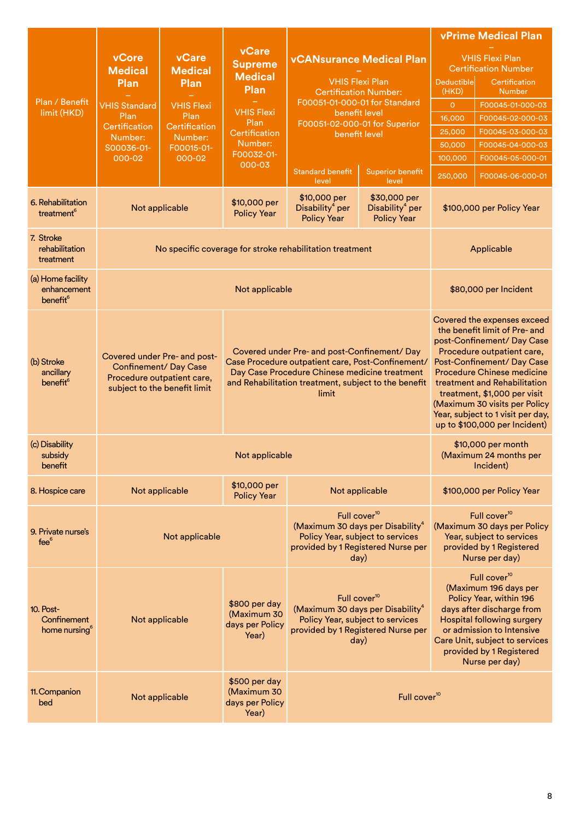|                                                          |                                                              |                                                            |                                                          |                                                                                                                                                                                                                     |                                                                   |                                                                                                                                                                                                                                                             | <b>vPrime Medical Plan</b>                                                                                                                                                                                                                                                                                                                                        |
|----------------------------------------------------------|--------------------------------------------------------------|------------------------------------------------------------|----------------------------------------------------------|---------------------------------------------------------------------------------------------------------------------------------------------------------------------------------------------------------------------|-------------------------------------------------------------------|-------------------------------------------------------------------------------------------------------------------------------------------------------------------------------------------------------------------------------------------------------------|-------------------------------------------------------------------------------------------------------------------------------------------------------------------------------------------------------------------------------------------------------------------------------------------------------------------------------------------------------------------|
|                                                          | vCore<br><b>Medical</b><br>Plan                              | <b>vCare</b><br><b>Medical</b><br>Plan                     | <b>vCare</b><br><b>Supreme</b><br><b>Medical</b>         | <b>VHIS Flexi Plan</b>                                                                                                                                                                                              | <b>vCANsurance Medical Plan</b>                                   | <b>Deductible</b>                                                                                                                                                                                                                                           | <b>VHIS Flexi Plan</b><br><b>Certification Number</b><br>Certification                                                                                                                                                                                                                                                                                            |
|                                                          |                                                              |                                                            | Plan                                                     | <b>Certification Number:</b>                                                                                                                                                                                        |                                                                   | (HKD)                                                                                                                                                                                                                                                       | Number                                                                                                                                                                                                                                                                                                                                                            |
| Plan / Benefit<br>limit (HKD)                            | <b>VHIS Standard</b>                                         | <b>VHIS Flexi</b>                                          | <b>VHIS Flexi</b>                                        | F00051-01-000-01 for Standard                                                                                                                                                                                       |                                                                   | $\mathsf O$                                                                                                                                                                                                                                                 | F00045-01-000-03                                                                                                                                                                                                                                                                                                                                                  |
|                                                          | Plan<br>Certification                                        | Plan<br>Certification                                      | Plan                                                     | benefit level<br>F00051-02-000-01 for Superior                                                                                                                                                                      |                                                                   | 16,000                                                                                                                                                                                                                                                      | F00045-02-000-03                                                                                                                                                                                                                                                                                                                                                  |
|                                                          | Number:                                                      | Number:                                                    | 25,000<br>Certification<br>benefit level                 |                                                                                                                                                                                                                     |                                                                   | F00045-03-000-03                                                                                                                                                                                                                                            |                                                                                                                                                                                                                                                                                                                                                                   |
|                                                          | S00036-01-                                                   | F00015-01-                                                 | Number:<br>F00032-01-                                    |                                                                                                                                                                                                                     |                                                                   | 50,000                                                                                                                                                                                                                                                      | F00045-04-000-03                                                                                                                                                                                                                                                                                                                                                  |
|                                                          | 000-02                                                       | 000-02                                                     | 000-03                                                   |                                                                                                                                                                                                                     |                                                                   | 100,000                                                                                                                                                                                                                                                     | F00045-05-000-01                                                                                                                                                                                                                                                                                                                                                  |
|                                                          |                                                              |                                                            |                                                          | <b>Standard benefit</b><br>level                                                                                                                                                                                    | <b>Superior benefit</b><br>level                                  | 250,000                                                                                                                                                                                                                                                     | F00045-06-000-01                                                                                                                                                                                                                                                                                                                                                  |
| 6. Rehabilitation<br>treatment <sup>6</sup>              |                                                              | Not applicable                                             | \$10,000 per<br><b>Policy Year</b>                       | \$10,000 per<br>Disability <sup>4</sup> per<br><b>Policy Year</b>                                                                                                                                                   | \$30,000 per<br>Disability <sup>4</sup> per<br><b>Policy Year</b> |                                                                                                                                                                                                                                                             | \$100,000 per Policy Year                                                                                                                                                                                                                                                                                                                                         |
| 7. Stroke<br>rehabilitation<br>treatment                 |                                                              |                                                            |                                                          | No specific coverage for stroke rehabilitation treatment                                                                                                                                                            |                                                                   |                                                                                                                                                                                                                                                             | Applicable                                                                                                                                                                                                                                                                                                                                                        |
| (a) Home facility<br>enhancement<br>benefit <sup>6</sup> |                                                              |                                                            | Not applicable                                           |                                                                                                                                                                                                                     |                                                                   |                                                                                                                                                                                                                                                             | \$80,000 per Incident                                                                                                                                                                                                                                                                                                                                             |
| (b) Stroke<br>ancillary<br>benefit <sup>6</sup>          | Covered under Pre- and post-<br><b>Confinement/ Day Case</b> | Procedure outpatient care,<br>subject to the benefit limit |                                                          | Covered under Pre- and post-Confinement/ Day<br>Case Procedure outpatient care, Post-Confinement/<br>Day Case Procedure Chinese medicine treatment<br>and Rehabilitation treatment, subject to the benefit<br>limit |                                                                   |                                                                                                                                                                                                                                                             | Covered the expenses exceed<br>the benefit limit of Pre- and<br>post-Confinement/Day Case<br>Procedure outpatient care,<br>Post-Confinement/ Day Case<br><b>Procedure Chinese medicine</b><br>treatment and Rehabilitation<br>treatment, \$1,000 per visit<br>(Maximum 30 visits per Policy<br>Year, subject to 1 visit per day,<br>up to \$100,000 per Incident) |
| (c) Disability<br>subsidy<br>benefit                     |                                                              |                                                            | Not applicable                                           |                                                                                                                                                                                                                     |                                                                   |                                                                                                                                                                                                                                                             | \$10,000 per month<br>(Maximum 24 months per<br>Incident)                                                                                                                                                                                                                                                                                                         |
| 8. Hospice care                                          |                                                              | Not applicable                                             | \$10,000 per<br><b>Policy Year</b>                       | Not applicable                                                                                                                                                                                                      |                                                                   |                                                                                                                                                                                                                                                             | \$100,000 per Policy Year                                                                                                                                                                                                                                                                                                                                         |
| 9. Private nurse's<br>fee <sup>6</sup>                   |                                                              | Not applicable                                             |                                                          | Full cover <sup>10</sup><br>(Maximum 30 days per Disability <sup>4</sup><br>Policy Year, subject to services<br>provided by 1 Registered Nurse per<br>day)                                                          |                                                                   | Full cover <sup>10</sup><br>(Maximum 30 days per Policy<br>Year, subject to services<br>provided by 1 Registered<br>Nurse per day)                                                                                                                          |                                                                                                                                                                                                                                                                                                                                                                   |
| 10. Post-<br>Confinement<br>home nursing <sup>6</sup>    |                                                              | Not applicable                                             | \$800 per day<br>(Maximum 30<br>days per Policy<br>Year) | Full cover <sup>10</sup><br>(Maximum 30 days per Disability <sup>4</sup><br>Policy Year, subject to services<br>provided by 1 Registered Nurse per<br>day)                                                          |                                                                   | Full cover <sup>10</sup><br>(Maximum 196 days per<br>Policy Year, within 196<br>days after discharge from<br><b>Hospital following surgery</b><br>or admission to Intensive<br>Care Unit, subject to services<br>provided by 1 Registered<br>Nurse per day) |                                                                                                                                                                                                                                                                                                                                                                   |
| 11. Companion<br>bed                                     |                                                              | Not applicable                                             | \$500 per day<br>(Maximum 30<br>days per Policy<br>Year) |                                                                                                                                                                                                                     | Full cover <sup>10</sup>                                          |                                                                                                                                                                                                                                                             |                                                                                                                                                                                                                                                                                                                                                                   |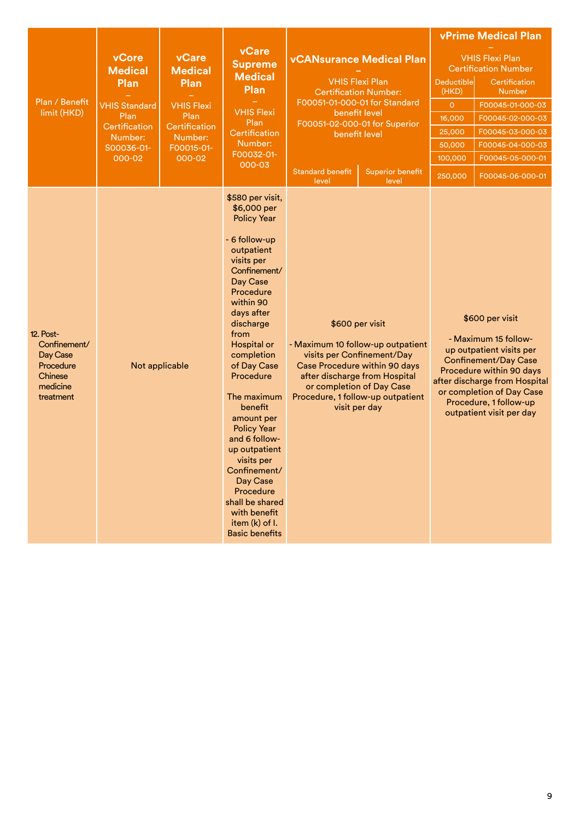| Plan / Benefit<br>limit (HKD)                                                                 | vCore<br><b>Medical</b><br>Plan<br><b>VHIS Standard</b><br>Plan<br>Certification<br>Number:<br>S00036-01-<br>000-02 | <b>vCare</b><br><b>Medical</b><br>Plan<br><b>VHIS Flexi</b><br>Plan<br>Certification<br>Number:<br>F00015-01-<br>000-02 | <b>vCare</b><br><b>Supreme</b><br><b>Medical</b><br>Plan<br><b>VHIS Flexi</b><br>Plan<br>Certification<br>Number:<br>F00032-01-<br>000-03                                                                                                                                                                                                                                                                                                                                                 | <b>vCANsurance Medical Plan</b><br><b>VHIS Flexi Plan</b><br><b>Certification Number:</b><br>F00051-01-000-01 for Standard<br>benefit level<br>F00051-02-000-01 for Superior<br>benefit level<br><b>Standard benefit</b><br><b>Superior benefit</b><br>level<br>level |                                                                                                                                                                                                                                         | Deductible<br>(HKD)<br>$\circ$<br>16,000<br>25,000<br>50,000<br>100,000<br>250,000 | <b>vPrime Medical Plan</b><br><b>VHIS Flexi Plan</b><br><b>Certification Number</b><br>Certification<br>Number<br>F00045-01-000-03<br>F00045-02-000-03<br>F00045-03-000-03<br>F00045-04-000-03<br>F00045-05-000-01<br>F00045-06-000-01             |
|-----------------------------------------------------------------------------------------------|---------------------------------------------------------------------------------------------------------------------|-------------------------------------------------------------------------------------------------------------------------|-------------------------------------------------------------------------------------------------------------------------------------------------------------------------------------------------------------------------------------------------------------------------------------------------------------------------------------------------------------------------------------------------------------------------------------------------------------------------------------------|-----------------------------------------------------------------------------------------------------------------------------------------------------------------------------------------------------------------------------------------------------------------------|-----------------------------------------------------------------------------------------------------------------------------------------------------------------------------------------------------------------------------------------|------------------------------------------------------------------------------------|----------------------------------------------------------------------------------------------------------------------------------------------------------------------------------------------------------------------------------------------------|
| <b>12. Post-</b><br>Confinement/<br>Day Case<br>Procedure<br>Chinese<br>medicine<br>treatment |                                                                                                                     | Not applicable                                                                                                          | \$580 per visit,<br>\$6,000 per<br><b>Policy Year</b><br>- 6 follow-up<br>outpatient<br>visits per<br>Confinement/<br>Day Case<br>Procedure<br>within 90<br>days after<br>discharge<br>from<br>Hospital or<br>completion<br>of Day Case<br>Procedure<br>The maximum<br>benefit<br>amount per<br><b>Policy Year</b><br>and 6 follow-<br>up outpatient<br>visits per<br>Confinement/<br>Day Case<br>Procedure<br>shall be shared<br>with benefit<br>item (k) of I.<br><b>Basic benefits</b> |                                                                                                                                                                                                                                                                       | \$600 per visit<br>- Maximum 10 follow-up outpatient<br>visits per Confinement/Day<br>Case Procedure within 90 days<br>after discharge from Hospital<br>or completion of Day Case<br>Procedure, 1 follow-up outpatient<br>visit per day |                                                                                    | \$600 per visit<br>- Maximum 15 follow-<br>up outpatient visits per<br><b>Confinement/Day Case</b><br>Procedure within 90 days<br>after discharge from Hospital<br>or completion of Day Case<br>Procedure, 1 follow-up<br>outpatient visit per day |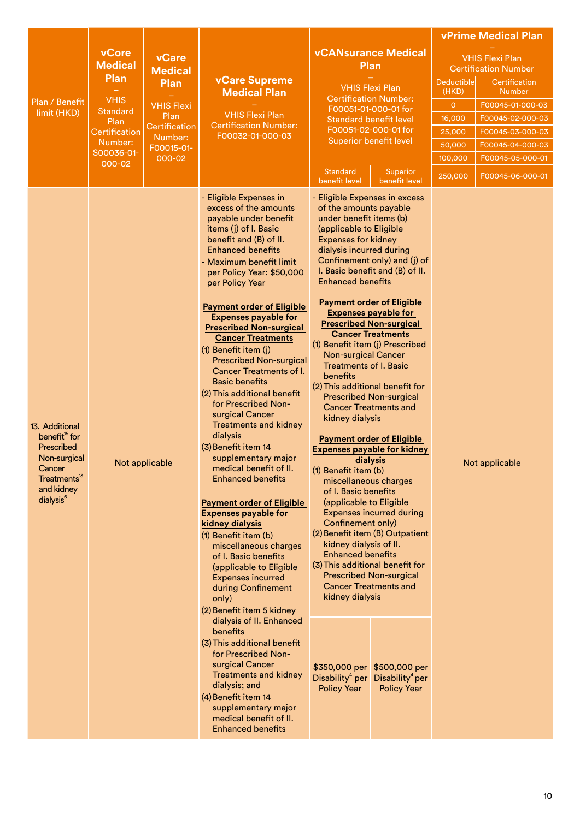|                                                                                                                                                        |                                                                                                                                      |                                                                                                                         |                                                                                                                                                                                                                                                                                                                                                                                                                                                                                                                                                                                                                                                                                                                                                                                                                                                                                                                                                                                                                                                                                                                                                                                                                                                                           |                                                                                                                                                                                                                                                                                                                                                                                                                                                                                                                                                                                                                                                                                                     |                                                                                                                                                                                                                                                                                                                                                                                                                                                                                                                                                                                         |                                                                                           | <b>vPrime Medical Plan</b>                                                                                                                                                                                      |
|--------------------------------------------------------------------------------------------------------------------------------------------------------|--------------------------------------------------------------------------------------------------------------------------------------|-------------------------------------------------------------------------------------------------------------------------|---------------------------------------------------------------------------------------------------------------------------------------------------------------------------------------------------------------------------------------------------------------------------------------------------------------------------------------------------------------------------------------------------------------------------------------------------------------------------------------------------------------------------------------------------------------------------------------------------------------------------------------------------------------------------------------------------------------------------------------------------------------------------------------------------------------------------------------------------------------------------------------------------------------------------------------------------------------------------------------------------------------------------------------------------------------------------------------------------------------------------------------------------------------------------------------------------------------------------------------------------------------------------|-----------------------------------------------------------------------------------------------------------------------------------------------------------------------------------------------------------------------------------------------------------------------------------------------------------------------------------------------------------------------------------------------------------------------------------------------------------------------------------------------------------------------------------------------------------------------------------------------------------------------------------------------------------------------------------------------------|-----------------------------------------------------------------------------------------------------------------------------------------------------------------------------------------------------------------------------------------------------------------------------------------------------------------------------------------------------------------------------------------------------------------------------------------------------------------------------------------------------------------------------------------------------------------------------------------|-------------------------------------------------------------------------------------------|-----------------------------------------------------------------------------------------------------------------------------------------------------------------------------------------------------------------|
| Plan / Benefit<br>limit (HKD)                                                                                                                          | <b>vCore</b><br><b>Medical</b><br>Plan<br><b>VHIS</b><br><b>Standard</b><br>Plan<br>Certification<br>Number:<br>S00036-01-<br>000-02 | <b>vCare</b><br><b>Medical</b><br>Plan<br><b>VHIS Flexi</b><br>Plan<br>Certification<br>Number:<br>F00015-01-<br>000-02 | <b>vCare Supreme</b><br><b>Medical Plan</b><br><b>VHIS Flexi Plan</b><br><b>Certification Number:</b><br>F00032-01-000-03                                                                                                                                                                                                                                                                                                                                                                                                                                                                                                                                                                                                                                                                                                                                                                                                                                                                                                                                                                                                                                                                                                                                                 | <b>Standard</b>                                                                                                                                                                                                                                                                                                                                                                                                                                                                                                                                                                                                                                                                                     | <b>vCANsurance Medical</b><br>Plan<br><b>VHIS Flexi Plan</b><br><b>Certification Number:</b><br>F00051-01-000-01 for<br><b>Standard benefit level</b><br>F00051-02-000-01 for<br><b>Superior benefit level</b><br>Superior                                                                                                                                                                                                                                                                                                                                                              | Deductible<br>(HKD)<br>$\overline{O}$<br>16,000<br>25,000<br>50,000<br>100,000<br>250,000 | <b>VHIS Flexi Plan</b><br><b>Certification Number</b><br>Certification<br><b>Number</b><br>F00045-01-000-03<br>F00045-02-000-03<br>F00045-03-000-03<br>F00045-04-000-03<br>F00045-05-000-01<br>F00045-06-000-01 |
| 13. Additional<br>benefit <sup>15</sup> for<br>Prescribed<br>Non-surgical<br>Cancer<br>Treatments <sup>13</sup><br>and kidney<br>dialysis <sup>6</sup> |                                                                                                                                      | Not applicable                                                                                                          | - Eligible Expenses in<br>excess of the amounts<br>payable under benefit<br>items (j) of I. Basic<br>benefit and (B) of II.<br><b>Enhanced benefits</b><br>- Maximum benefit limit<br>per Policy Year: \$50,000<br>per Policy Year<br><b>Payment order of Eligible</b><br><b>Expenses payable for</b><br><b>Prescribed Non-surgical</b><br><b>Cancer Treatments</b><br>(1) Benefit item (j)<br><b>Prescribed Non-surgical</b><br><b>Cancer Treatments of I.</b><br><b>Basic benefits</b><br>(2) This additional benefit<br>for Prescribed Non-<br>surgical Cancer<br><b>Treatments and kidney</b><br>dialysis<br>(3) Benefit item 14<br>supplementary major<br>medical benefit of II.<br><b>Enhanced benefits</b><br><b>Payment order of Eligible</b><br><b>Expenses payable for</b><br>kidney dialysis<br>(1) Benefit item (b)<br>miscellaneous charges<br>of I. Basic benefits<br>(applicable to Eligible<br><b>Expenses incurred</b><br>during Confinement<br>only)<br>(2) Benefit item 5 kidney<br>dialysis of II. Enhanced<br>benefits<br>(3) This additional benefit<br>for Prescribed Non-<br>surgical Cancer<br><b>Treatments and kidney</b><br>dialysis; and<br>(4) Benefit item 14<br>supplementary major<br>medical benefit of II.<br><b>Enhanced benefits</b> | benefit level<br>- Eligible Expenses in excess<br>of the amounts payable<br>under benefit items (b)<br>(applicable to Eligible<br><b>Expenses for kidney</b><br>dialysis incurred during<br><b>Enhanced benefits</b><br>(1) Benefit item (j) Prescribed<br><b>Non-surgical Cancer</b><br><b>Treatments of I. Basic</b><br>benefits<br>(2) This additional benefit for<br>kidney dialysis<br>(1) Benefit item (b)<br>miscellaneous charges<br>of I. Basic benefits<br>(applicable to Eligible<br>Confinement only)<br>kidney dialysis of II.<br><b>Enhanced benefits</b><br>(3) This additional benefit for<br>kidney dialysis<br>\$350,000 per<br>Disability <sup>4</sup> per<br><b>Policy Year</b> | benefit level<br>Confinement only) and (j) of<br>I. Basic benefit and (B) of II.<br><b>Payment order of Eligible</b><br><b>Expenses payable for</b><br><b>Prescribed Non-surgical</b><br><b>Cancer Treatments</b><br><b>Prescribed Non-surgical</b><br><b>Cancer Treatments and</b><br><b>Payment order of Eligible</b><br><b>Expenses payable for kidney</b><br>dialysis<br><b>Expenses incurred during</b><br>(2) Benefit item (B) Outpatient<br><b>Prescribed Non-surgical</b><br><b>Cancer Treatments and</b><br>\$500,000 per<br>Disability <sup>4</sup> per<br><b>Policy Year</b> |                                                                                           | Not applicable                                                                                                                                                                                                  |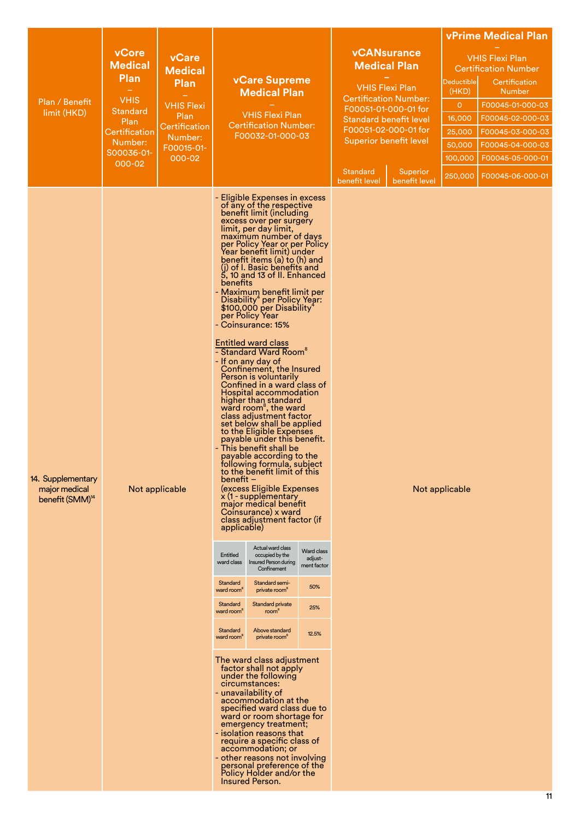|                                                                   |                                |                               |                                                                                                                                                                                  |                                                                                                                                                                                                                                                                                                                                                                                                                                                                                                                                                                                                                                                                                                                                                                                                                                                                                                                                                                                                                                                                                                                                                                                                                                                                                                                                                                                                                                                                                                                                                                                                                                                                                                                                                                                                    |                                                             |                                           |                           |                                      | <b>vPrime Medical Plan</b>                   |
|-------------------------------------------------------------------|--------------------------------|-------------------------------|----------------------------------------------------------------------------------------------------------------------------------------------------------------------------------|----------------------------------------------------------------------------------------------------------------------------------------------------------------------------------------------------------------------------------------------------------------------------------------------------------------------------------------------------------------------------------------------------------------------------------------------------------------------------------------------------------------------------------------------------------------------------------------------------------------------------------------------------------------------------------------------------------------------------------------------------------------------------------------------------------------------------------------------------------------------------------------------------------------------------------------------------------------------------------------------------------------------------------------------------------------------------------------------------------------------------------------------------------------------------------------------------------------------------------------------------------------------------------------------------------------------------------------------------------------------------------------------------------------------------------------------------------------------------------------------------------------------------------------------------------------------------------------------------------------------------------------------------------------------------------------------------------------------------------------------------------------------------------------------------|-------------------------------------------------------------|-------------------------------------------|---------------------------|--------------------------------------|----------------------------------------------|
|                                                                   | <b>vCore</b><br><b>Medical</b> | vCare                         |                                                                                                                                                                                  |                                                                                                                                                                                                                                                                                                                                                                                                                                                                                                                                                                                                                                                                                                                                                                                                                                                                                                                                                                                                                                                                                                                                                                                                                                                                                                                                                                                                                                                                                                                                                                                                                                                                                                                                                                                                    |                                                             | <b>vCANsurance</b><br><b>Medical Plan</b> |                           |                                      | <b>VHIS Flexi Plan</b>                       |
|                                                                   | <b>Plan</b>                    | <b>Medical</b><br><b>Plan</b> |                                                                                                                                                                                  | <b>vCare Supreme</b>                                                                                                                                                                                                                                                                                                                                                                                                                                                                                                                                                                                                                                                                                                                                                                                                                                                                                                                                                                                                                                                                                                                                                                                                                                                                                                                                                                                                                                                                                                                                                                                                                                                                                                                                                                               |                                                             |                                           |                           | <b>Deductible</b>                    | <b>Certification Number</b><br>Certification |
|                                                                   | <b>VHIS</b>                    |                               | <b>Medical Plan</b>                                                                                                                                                              |                                                                                                                                                                                                                                                                                                                                                                                                                                                                                                                                                                                                                                                                                                                                                                                                                                                                                                                                                                                                                                                                                                                                                                                                                                                                                                                                                                                                                                                                                                                                                                                                                                                                                                                                                                                                    | <b>VHIS Flexi Plan</b><br><b>Certification Number:</b>      |                                           | (HKD)                     | <b>Number</b>                        |                                              |
| Plan / Benefit<br>limit (HKD)                                     | <b>Standard</b>                | <b>VHIS Flexi</b><br>Plan     |                                                                                                                                                                                  | <b>VHIS Flexi Plan</b>                                                                                                                                                                                                                                                                                                                                                                                                                                                                                                                                                                                                                                                                                                                                                                                                                                                                                                                                                                                                                                                                                                                                                                                                                                                                                                                                                                                                                                                                                                                                                                                                                                                                                                                                                                             |                                                             | F00051-01-000-01 for                      |                           | $\overline{O}$                       | F00045-01-000-03                             |
|                                                                   | Plan                           | Certification                 | <b>Certification Number:</b><br>F00032-01-000-03                                                                                                                                 |                                                                                                                                                                                                                                                                                                                                                                                                                                                                                                                                                                                                                                                                                                                                                                                                                                                                                                                                                                                                                                                                                                                                                                                                                                                                                                                                                                                                                                                                                                                                                                                                                                                                                                                                                                                                    | <b>Standard benefit level</b><br>F00051-02-000-01 for       |                                           | 16,000<br>25,000          | F00045-02-000-03<br>F00045-03-000-03 |                                              |
|                                                                   | Certification<br>Number:       | Number:                       |                                                                                                                                                                                  |                                                                                                                                                                                                                                                                                                                                                                                                                                                                                                                                                                                                                                                                                                                                                                                                                                                                                                                                                                                                                                                                                                                                                                                                                                                                                                                                                                                                                                                                                                                                                                                                                                                                                                                                                                                                    |                                                             | Superior benefit level                    |                           | 50.000                               | F00045-04-000-03                             |
|                                                                   | S00036-01-                     | F00015-01-<br>000-02          |                                                                                                                                                                                  |                                                                                                                                                                                                                                                                                                                                                                                                                                                                                                                                                                                                                                                                                                                                                                                                                                                                                                                                                                                                                                                                                                                                                                                                                                                                                                                                                                                                                                                                                                                                                                                                                                                                                                                                                                                                    |                                                             |                                           |                           | 100,000                              | F00045-05-000-01                             |
|                                                                   | 000-02                         |                               |                                                                                                                                                                                  |                                                                                                                                                                                                                                                                                                                                                                                                                                                                                                                                                                                                                                                                                                                                                                                                                                                                                                                                                                                                                                                                                                                                                                                                                                                                                                                                                                                                                                                                                                                                                                                                                                                                                                                                                                                                    |                                                             | <b>Standard</b><br>benefit level          | Superior<br>benefit level |                                      | 250,000   F00045-06-000-01                   |
| 14. Supplementary<br>major medical<br>benefit (SMM) <sup>14</sup> |                                | Not applicable                | benefits<br>benefit –<br>applicable)<br>Entitled<br>ward class<br>Standard<br>ward room <sup>8</sup><br>Standard<br>ward room <sup>8</sup><br>Standard<br>ward room <sup>8</sup> | - Eligible Expenses in excess<br>of any of the respective<br>benefit limit (including<br>excess over per surgery<br>limit, per day limit,<br>maximum number of days<br>per Policy Year or per Policy<br>Year benefit limit) under<br>benefit items (a) to (h) and<br>(j) of I. Basic benefits and<br>$5, 10$ and 13 of II. Enhanced<br>- Maximum benefit limit per<br>Disability <sup>4</sup> per Policy Year:<br>\$100,000 per Disability <sup>4</sup><br>per Policy Year<br>- Coinsurance: 15%<br><b>Entitled ward class</b><br>- Standard Ward Room <sup>8</sup><br>- If on any day of<br>Confinement, the Insured<br>Person is voluntarily<br>Confined in a ward class of<br><b>Hospital accommodation</b><br>higher than standard<br>ward room <sup>8</sup> , the ward<br>class adjustment factor<br>set below shall be applied<br>to the Eligible Expenses<br>payable under this benefit.<br>- This benefit shall be<br>payable according to the<br>following formula, subject<br>to the benefit limit of this<br>(excess Eligible Expenses<br>x (1-supplementary<br>major medical benefit<br>Coinsurance) x ward<br>class adjustment factor (if<br>Actual ward class<br>occupied by the<br>Insured Person during<br>Confinement<br>Standard semi-<br>private room <sup>®</sup><br>Standard private<br>room®<br>Above standard<br>private room <sup>8</sup><br>The ward class adjustment<br>factor shall not apply<br>under the following<br>circumstances:<br>- unavailability of<br>accommodation at the<br>specified ward class due to<br>ward or room shortage for<br>emergency treatment;<br>- isolation reasons that<br>require a specific class of<br>accommodation; or<br>- other reasons not involving<br>personal preference of the<br>Policy Holder and/or the<br>Insured Person. | Ward class<br>adjust-<br>ment factor<br>50%<br>25%<br>12.5% |                                           |                           | Not applicable                       |                                              |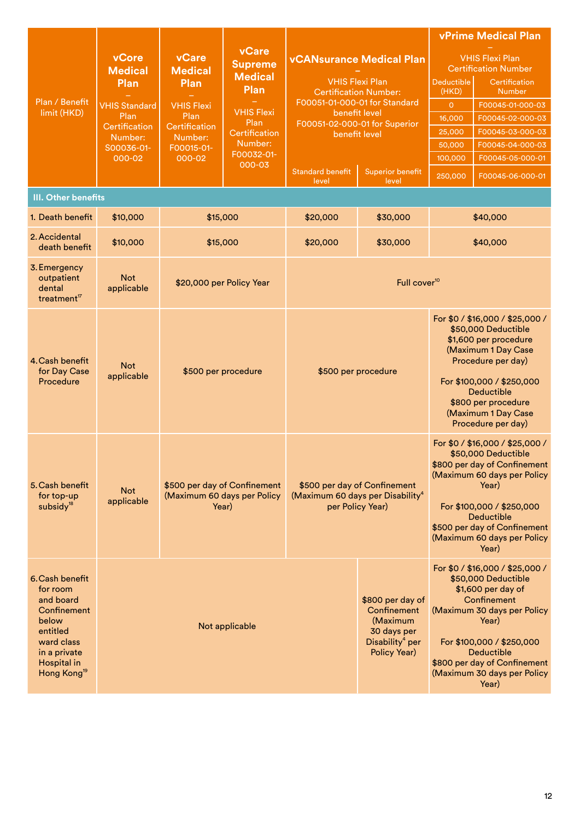|                                                                                                                                                             |                                                                                                                     |                                                                                                                                |                                                                                                                                           |                                                                                                                                                                                                                                                                       |                                                                                                           |                                                                                                                                                                                                                                                          | <b>vPrime Medical Plan</b>                                                                                                                                                                                                                                    |  |
|-------------------------------------------------------------------------------------------------------------------------------------------------------------|---------------------------------------------------------------------------------------------------------------------|--------------------------------------------------------------------------------------------------------------------------------|-------------------------------------------------------------------------------------------------------------------------------------------|-----------------------------------------------------------------------------------------------------------------------------------------------------------------------------------------------------------------------------------------------------------------------|-----------------------------------------------------------------------------------------------------------|----------------------------------------------------------------------------------------------------------------------------------------------------------------------------------------------------------------------------------------------------------|---------------------------------------------------------------------------------------------------------------------------------------------------------------------------------------------------------------------------------------------------------------|--|
| Plan / Benefit<br>limit (HKD)                                                                                                                               | vCore<br><b>Medical</b><br>Plan<br><b>VHIS Standard</b><br>Plan<br>Certification<br>Number:<br>S00036-01-<br>000-02 | <b>vCare</b><br><b>Medical</b><br><b>Plan</b><br><b>VHIS Flexi</b><br>Plan<br>Certification<br>Number:<br>F00015-01-<br>000-02 | <b>vCare</b><br><b>Supreme</b><br><b>Medical</b><br>Plan<br><b>VHIS Flexi</b><br>Plan<br>Certification<br>Number:<br>F00032-01-<br>000-03 | <b>vCANsurance Medical Plan</b><br><b>VHIS Flexi Plan</b><br><b>Certification Number:</b><br>F00051-01-000-01 for Standard<br>benefit level<br>F00051-02-000-01 for Superior<br>benefit level<br><b>Standard benefit</b><br><b>Superior benefit</b><br>level<br>level |                                                                                                           | <b>Deductible</b><br>(HKD)<br>$\overline{O}$<br>16,000<br>25,000<br>50,000<br>100,000<br>250,000                                                                                                                                                         | <b>VHIS Flexi Plan</b><br><b>Certification Number</b><br>Certification<br><b>Number</b><br>F00045-01-000-03<br>F00045-02-000-03<br>F00045-03-000-03<br>F00045-04-000-03<br>F00045-05-000-01<br>F00045-06-000-01                                               |  |
| III. Other benefits                                                                                                                                         |                                                                                                                     |                                                                                                                                |                                                                                                                                           |                                                                                                                                                                                                                                                                       |                                                                                                           |                                                                                                                                                                                                                                                          |                                                                                                                                                                                                                                                               |  |
| 1. Death benefit                                                                                                                                            | \$10,000                                                                                                            |                                                                                                                                | \$15,000                                                                                                                                  | \$20,000                                                                                                                                                                                                                                                              | \$30,000                                                                                                  |                                                                                                                                                                                                                                                          | \$40,000                                                                                                                                                                                                                                                      |  |
| 2. Accidental<br>death benefit                                                                                                                              | \$10,000                                                                                                            |                                                                                                                                | \$15,000                                                                                                                                  | \$20,000                                                                                                                                                                                                                                                              | \$30,000                                                                                                  |                                                                                                                                                                                                                                                          | \$40,000                                                                                                                                                                                                                                                      |  |
| 3. Emergency<br>outpatient<br>dental<br>treatment <sup>17</sup>                                                                                             | <b>Not</b><br>applicable                                                                                            |                                                                                                                                | \$20,000 per Policy Year                                                                                                                  |                                                                                                                                                                                                                                                                       | Full cover <sup>10</sup>                                                                                  |                                                                                                                                                                                                                                                          |                                                                                                                                                                                                                                                               |  |
| 4. Cash benefit<br>for Day Case<br>Procedure                                                                                                                | <b>Not</b><br>applicable                                                                                            | \$500 per procedure                                                                                                            |                                                                                                                                           |                                                                                                                                                                                                                                                                       | \$500 per procedure                                                                                       | For \$0 / \$16,000 / \$25,000 /<br>\$50,000 Deductible<br>\$1,600 per procedure<br>(Maximum 1 Day Case<br>Procedure per day)<br>For \$100,000 / \$250,000<br><b>Deductible</b><br>\$800 per procedure<br>(Maximum 1 Day Case<br>Procedure per day)       |                                                                                                                                                                                                                                                               |  |
| 5. Cash benefit<br>for top-up<br>subsidy <sup>18</sup>                                                                                                      | <b>Not</b><br>applicable                                                                                            |                                                                                                                                | \$500 per day of Confinement<br>(Maximum 60 days per Policy<br>Year)                                                                      |                                                                                                                                                                                                                                                                       | \$500 per day of Confinement<br>(Maximum 60 days per Disability <sup>4</sup><br>per Policy Year)          | For \$0 / \$16,000 / \$25,000 /<br>\$50,000 Deductible<br>\$800 per day of Confinement<br>(Maximum 60 days per Policy<br>Year)<br>For \$100,000 / \$250,000<br><b>Deductible</b><br>\$500 per day of Confinement<br>(Maximum 60 days per Policy<br>Year) |                                                                                                                                                                                                                                                               |  |
| 6. Cash benefit<br>for room<br>and board<br>Confinement<br>below<br>entitled<br>ward class<br>in a private<br><b>Hospital</b> in<br>Hong Kong <sup>19</sup> |                                                                                                                     |                                                                                                                                | Not applicable                                                                                                                            |                                                                                                                                                                                                                                                                       | \$800 per day of<br>Confinement<br>(Maximum<br>30 days per<br>Disability <sup>4</sup> per<br>Policy Year) |                                                                                                                                                                                                                                                          | For \$0 / \$16,000 / \$25,000 /<br>\$50,000 Deductible<br>\$1,600 per day of<br>Confinement<br>(Maximum 30 days per Policy<br>Year)<br>For \$100,000 / \$250,000<br><b>Deductible</b><br>\$800 per day of Confinement<br>(Maximum 30 days per Policy<br>Year) |  |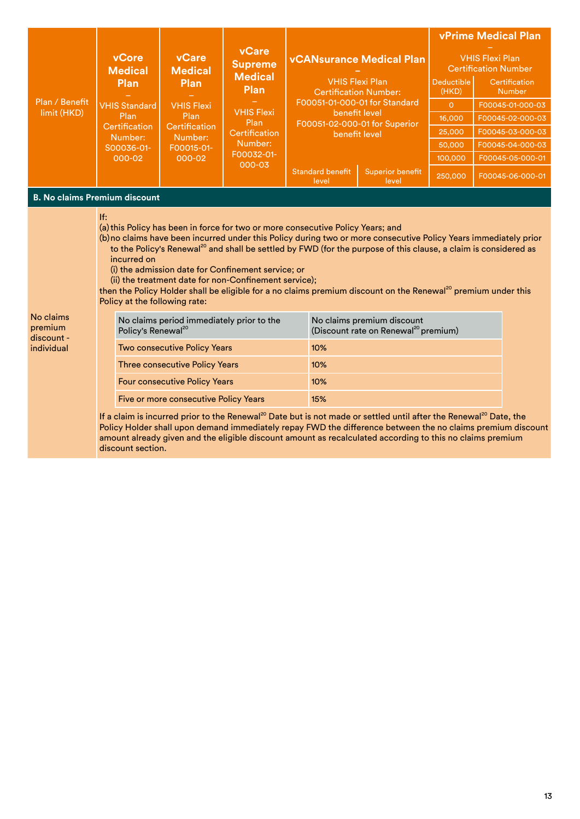|                                      |                                                                                                                                                                                                                                                                                                                                                                                                                                                                                                                                                                                                                                       | <b>vCore</b><br><b>Medical</b><br>Plan<br><b>VHIS Standard</b>                                                                                                                                                                                                                                                                                                        | vCare<br><b>Medical</b><br><b>Plan</b><br><b>VHIS Flexi</b><br>Plan | vCare<br><b>Supreme</b><br><b>Medical</b><br>Plan<br><b>VHIS Flexi</b><br>Plan<br>Certification<br>Number:<br>F00032-01-<br>000-03 |                                                                                           |                                                                                 |                                                       |                                | <b>vPrime Medical Plan</b> |  |
|--------------------------------------|---------------------------------------------------------------------------------------------------------------------------------------------------------------------------------------------------------------------------------------------------------------------------------------------------------------------------------------------------------------------------------------------------------------------------------------------------------------------------------------------------------------------------------------------------------------------------------------------------------------------------------------|-----------------------------------------------------------------------------------------------------------------------------------------------------------------------------------------------------------------------------------------------------------------------------------------------------------------------------------------------------------------------|---------------------------------------------------------------------|------------------------------------------------------------------------------------------------------------------------------------|-------------------------------------------------------------------------------------------|---------------------------------------------------------------------------------|-------------------------------------------------------|--------------------------------|----------------------------|--|
| Plan / Benefit<br>limit (HKD)        |                                                                                                                                                                                                                                                                                                                                                                                                                                                                                                                                                                                                                                       |                                                                                                                                                                                                                                                                                                                                                                       |                                                                     |                                                                                                                                    | <b>vCANsurance Medical Plan</b><br><b>VHIS Flexi Plan</b><br><b>Certification Number:</b> |                                                                                 | <b>VHIS Flexi Plan</b><br><b>Certification Number</b> |                                |                            |  |
|                                      |                                                                                                                                                                                                                                                                                                                                                                                                                                                                                                                                                                                                                                       |                                                                                                                                                                                                                                                                                                                                                                       |                                                                     |                                                                                                                                    |                                                                                           |                                                                                 | Deductible<br>(HKD)                                   | Certification<br><b>Number</b> |                            |  |
|                                      |                                                                                                                                                                                                                                                                                                                                                                                                                                                                                                                                                                                                                                       |                                                                                                                                                                                                                                                                                                                                                                       |                                                                     |                                                                                                                                    |                                                                                           | F00051-01-000-01 for Standard<br>benefit level<br>F00051-02-000-01 for Superior |                                                       | $\circ$                        | F00045-01-000-03           |  |
|                                      |                                                                                                                                                                                                                                                                                                                                                                                                                                                                                                                                                                                                                                       | Plan                                                                                                                                                                                                                                                                                                                                                                  |                                                                     |                                                                                                                                    |                                                                                           |                                                                                 |                                                       | 16,000                         | F00045-02-000-03           |  |
|                                      |                                                                                                                                                                                                                                                                                                                                                                                                                                                                                                                                                                                                                                       | Certification<br>Number:                                                                                                                                                                                                                                                                                                                                              | Certification<br>Number:                                            |                                                                                                                                    |                                                                                           | benefit level                                                                   |                                                       | 25,000                         | F00045-03-000-03           |  |
|                                      |                                                                                                                                                                                                                                                                                                                                                                                                                                                                                                                                                                                                                                       | S00036-01-                                                                                                                                                                                                                                                                                                                                                            | F00015-01-<br>000-02                                                |                                                                                                                                    |                                                                                           |                                                                                 |                                                       | 50,000                         | F00045-04-000-03           |  |
|                                      |                                                                                                                                                                                                                                                                                                                                                                                                                                                                                                                                                                                                                                       | 000-02                                                                                                                                                                                                                                                                                                                                                                |                                                                     |                                                                                                                                    |                                                                                           |                                                                                 |                                                       | 100,000                        | F00045-05-000-01           |  |
|                                      |                                                                                                                                                                                                                                                                                                                                                                                                                                                                                                                                                                                                                                       |                                                                                                                                                                                                                                                                                                                                                                       |                                                                     |                                                                                                                                    |                                                                                           | <b>Standard benefit</b><br>level                                                | <b>Superior benefit</b><br>level                      | 250,000                        | F00045-06-000-01           |  |
| <b>B. No claims Premium discount</b> |                                                                                                                                                                                                                                                                                                                                                                                                                                                                                                                                                                                                                                       |                                                                                                                                                                                                                                                                                                                                                                       |                                                                     |                                                                                                                                    |                                                                                           |                                                                                 |                                                       |                                |                            |  |
|                                      | If:<br>(a) this Policy has been in force for two or more consecutive Policy Years; and<br>(b) no claims have been incurred under this Policy during two or more consecutive Policy Years immediately prior<br>to the Policy's Renewal <sup>20</sup> and shall be settled by FWD (for the purpose of this clause, a claim is considered as<br>incurred on<br>(i) the admission date for Confinement service; or<br>(ii) the treatment date for non-Confinement service);<br>then the Policy Holder shall be eligible for a no claims premium discount on the Renewal <sup>20</sup> premium under this<br>Policy at the following rate: |                                                                                                                                                                                                                                                                                                                                                                       |                                                                     |                                                                                                                                    |                                                                                           |                                                                                 |                                                       |                                |                            |  |
| No claims<br>premium                 |                                                                                                                                                                                                                                                                                                                                                                                                                                                                                                                                                                                                                                       | No claims period immediately prior to the<br>Policy's Renewal <sup>20</sup>                                                                                                                                                                                                                                                                                           |                                                                     |                                                                                                                                    |                                                                                           | No claims premium discount<br>(Discount rate on Renewal <sup>20</sup> premium)  |                                                       |                                |                            |  |
| discount -<br>individual             |                                                                                                                                                                                                                                                                                                                                                                                                                                                                                                                                                                                                                                       | Two consecutive Policy Years                                                                                                                                                                                                                                                                                                                                          |                                                                     |                                                                                                                                    |                                                                                           | 10%                                                                             |                                                       |                                |                            |  |
|                                      |                                                                                                                                                                                                                                                                                                                                                                                                                                                                                                                                                                                                                                       | <b>Three consecutive Policy Years</b>                                                                                                                                                                                                                                                                                                                                 |                                                                     |                                                                                                                                    |                                                                                           | 10%                                                                             |                                                       |                                |                            |  |
|                                      |                                                                                                                                                                                                                                                                                                                                                                                                                                                                                                                                                                                                                                       | <b>Four consecutive Policy Years</b>                                                                                                                                                                                                                                                                                                                                  |                                                                     |                                                                                                                                    |                                                                                           | 10%                                                                             |                                                       |                                |                            |  |
|                                      |                                                                                                                                                                                                                                                                                                                                                                                                                                                                                                                                                                                                                                       | Five or more consecutive Policy Years                                                                                                                                                                                                                                                                                                                                 |                                                                     |                                                                                                                                    |                                                                                           | 15%                                                                             |                                                       |                                |                            |  |
|                                      |                                                                                                                                                                                                                                                                                                                                                                                                                                                                                                                                                                                                                                       | If a claim is incurred prior to the Renewal <sup>20</sup> Date but is not made or settled until after the Renewal <sup>20</sup> Date, the<br>Policy Holder shall upon demand immediately repay FWD the difference between the no claims premium discount<br>amount already given and the eligible discount amount as recalculated according to this no claims premium |                                                                     |                                                                                                                                    |                                                                                           |                                                                                 |                                                       |                                |                            |  |

discount section.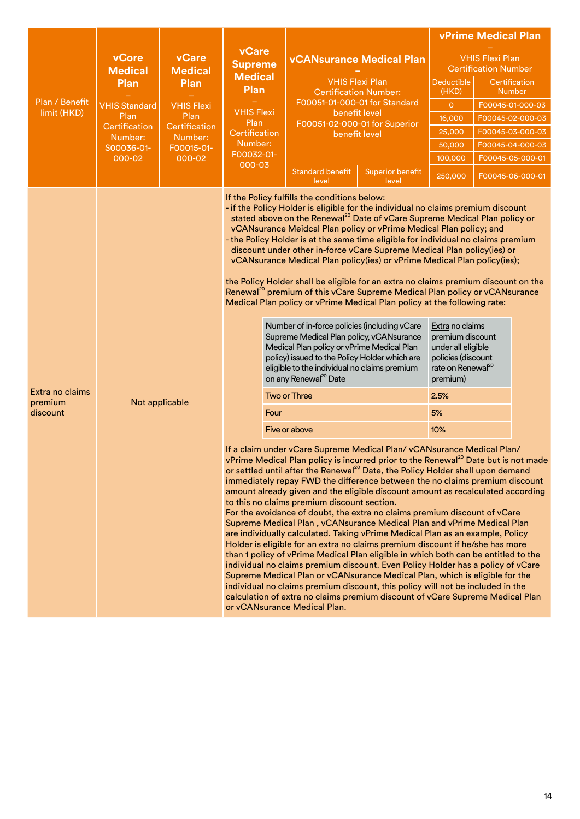|                                        |                                                |                                                                                                                  |                           |                                                                                                                                                                                                                                                                                                                                                                                                                                                                                                                                                                                                                                                                                                                                                                                                                                                                                                                                                                                                                                                                                                                                                                                                                                                                                                                                                                                                                                                                                                                                                                                                                                                                                                                                                                                                                                                                                                                                                                                                                                                                                                                                                                                                                                                                                                                                                                                                                | <b>vPrime Medical Plan</b>                                      |                                                                                                                                                   |  |                                |
|----------------------------------------|------------------------------------------------|------------------------------------------------------------------------------------------------------------------|---------------------------|----------------------------------------------------------------------------------------------------------------------------------------------------------------------------------------------------------------------------------------------------------------------------------------------------------------------------------------------------------------------------------------------------------------------------------------------------------------------------------------------------------------------------------------------------------------------------------------------------------------------------------------------------------------------------------------------------------------------------------------------------------------------------------------------------------------------------------------------------------------------------------------------------------------------------------------------------------------------------------------------------------------------------------------------------------------------------------------------------------------------------------------------------------------------------------------------------------------------------------------------------------------------------------------------------------------------------------------------------------------------------------------------------------------------------------------------------------------------------------------------------------------------------------------------------------------------------------------------------------------------------------------------------------------------------------------------------------------------------------------------------------------------------------------------------------------------------------------------------------------------------------------------------------------------------------------------------------------------------------------------------------------------------------------------------------------------------------------------------------------------------------------------------------------------------------------------------------------------------------------------------------------------------------------------------------------------------------------------------------------------------------------------------------------|-----------------------------------------------------------------|---------------------------------------------------------------------------------------------------------------------------------------------------|--|--------------------------------|
|                                        | vCore<br><b>Medical</b>                        | vCare<br><b>Medical</b><br>Plan<br><b>VHIS Flexi</b><br>Plan<br>Certification<br>Number:<br>F00015-01-<br>000-02 | vCare<br><b>Supreme</b>   | <b>vCANsurance Medical Plan</b><br><b>VHIS Flexi Plan</b><br><b>Certification Number:</b>                                                                                                                                                                                                                                                                                                                                                                                                                                                                                                                                                                                                                                                                                                                                                                                                                                                                                                                                                                                                                                                                                                                                                                                                                                                                                                                                                                                                                                                                                                                                                                                                                                                                                                                                                                                                                                                                                                                                                                                                                                                                                                                                                                                                                                                                                                                      |                                                                 | <b>VHIS Flexi Plan</b><br><b>Certification Number</b>                                                                                             |  |                                |
|                                        | Plan                                           |                                                                                                                  | <b>Medical</b><br>Plan    |                                                                                                                                                                                                                                                                                                                                                                                                                                                                                                                                                                                                                                                                                                                                                                                                                                                                                                                                                                                                                                                                                                                                                                                                                                                                                                                                                                                                                                                                                                                                                                                                                                                                                                                                                                                                                                                                                                                                                                                                                                                                                                                                                                                                                                                                                                                                                                                                                |                                                                 | <b>Deductible</b><br>(HKD)                                                                                                                        |  | Certification<br><b>Number</b> |
| Plan / Benefit                         | <b>VHIS Standard</b>                           |                                                                                                                  |                           | F00051-01-000-01 for Standard                                                                                                                                                                                                                                                                                                                                                                                                                                                                                                                                                                                                                                                                                                                                                                                                                                                                                                                                                                                                                                                                                                                                                                                                                                                                                                                                                                                                                                                                                                                                                                                                                                                                                                                                                                                                                                                                                                                                                                                                                                                                                                                                                                                                                                                                                                                                                                                  |                                                                 | $\overline{0}$                                                                                                                                    |  | F00045-01-000-03               |
| limit (HKD)                            | Plan<br>Certification<br>Number:<br>S00036-01- |                                                                                                                  | <b>VHIS Flexi</b><br>Plan |                                                                                                                                                                                                                                                                                                                                                                                                                                                                                                                                                                                                                                                                                                                                                                                                                                                                                                                                                                                                                                                                                                                                                                                                                                                                                                                                                                                                                                                                                                                                                                                                                                                                                                                                                                                                                                                                                                                                                                                                                                                                                                                                                                                                                                                                                                                                                                                                                | benefit level<br>F00051-02-000-01 for Superior<br>benefit level |                                                                                                                                                   |  | F00045-02-000-03               |
|                                        |                                                |                                                                                                                  | Certification             |                                                                                                                                                                                                                                                                                                                                                                                                                                                                                                                                                                                                                                                                                                                                                                                                                                                                                                                                                                                                                                                                                                                                                                                                                                                                                                                                                                                                                                                                                                                                                                                                                                                                                                                                                                                                                                                                                                                                                                                                                                                                                                                                                                                                                                                                                                                                                                                                                |                                                                 |                                                                                                                                                   |  | F00045-03-000-03               |
|                                        |                                                |                                                                                                                  | Number:                   |                                                                                                                                                                                                                                                                                                                                                                                                                                                                                                                                                                                                                                                                                                                                                                                                                                                                                                                                                                                                                                                                                                                                                                                                                                                                                                                                                                                                                                                                                                                                                                                                                                                                                                                                                                                                                                                                                                                                                                                                                                                                                                                                                                                                                                                                                                                                                                                                                |                                                                 | 50,000                                                                                                                                            |  | F00045-04-000-03               |
|                                        | 000-02                                         |                                                                                                                  | F00032-01-<br>000-03      |                                                                                                                                                                                                                                                                                                                                                                                                                                                                                                                                                                                                                                                                                                                                                                                                                                                                                                                                                                                                                                                                                                                                                                                                                                                                                                                                                                                                                                                                                                                                                                                                                                                                                                                                                                                                                                                                                                                                                                                                                                                                                                                                                                                                                                                                                                                                                                                                                |                                                                 | 100,000                                                                                                                                           |  | F00045-05-000-01               |
|                                        |                                                |                                                                                                                  |                           | <b>Standard benefit</b><br>level                                                                                                                                                                                                                                                                                                                                                                                                                                                                                                                                                                                                                                                                                                                                                                                                                                                                                                                                                                                                                                                                                                                                                                                                                                                                                                                                                                                                                                                                                                                                                                                                                                                                                                                                                                                                                                                                                                                                                                                                                                                                                                                                                                                                                                                                                                                                                                               | <b>Superior benefit</b><br>level                                | 250,000                                                                                                                                           |  | F00045-06-000-01               |
| Extra no claims<br>premium<br>discount | Not applicable                                 |                                                                                                                  | Four                      | If the Policy fulfills the conditions below:<br>- if the Policy Holder is eligible for the individual no claims premium discount<br>stated above on the Renewal <sup>20</sup> Date of vCare Supreme Medical Plan policy or<br>vCANsurance Meidcal Plan policy or vPrime Medical Plan policy; and<br>- the Policy Holder is at the same time eligible for individual no claims premium<br>discount under other in-force vCare Supreme Medical Plan policy(ies) or<br>vCANsurance Medical Plan policy(ies) or vPrime Medical Plan policy(ies);<br>the Policy Holder shall be eligible for an extra no claims premium discount on the<br>Renewal <sup>20</sup> premium of this vCare Supreme Medical Plan policy or vCANsurance<br>Medical Plan policy or vPrime Medical Plan policy at the following rate:<br>Number of in-force policies (including vCare<br>Supreme Medical Plan policy, vCANsurance<br>Medical Plan policy or vPrime Medical Plan<br>policy) issued to the Policy Holder which are<br>eligible to the individual no claims premium<br>on any Renewal <sup>20</sup> Date<br><b>Two or Three</b><br>Five or above<br>If a claim under vCare Supreme Medical Plan/vCANsurance Medical Plan/<br>vPrime Medical Plan policy is incurred prior to the Renewal <sup>20</sup> Date but is not made<br>or settled until after the Renewal <sup>20</sup> Date, the Policy Holder shall upon demand<br>immediately repay FWD the difference between the no claims premium discount<br>amount already given and the eligible discount amount as recalculated according<br>to this no claims premium discount section.<br>For the avoidance of doubt, the extra no claims premium discount of vCare<br>Supreme Medical Plan, vCANsurance Medical Plan and vPrime Medical Plan<br>are individually calculated. Taking vPrime Medical Plan as an example, Policy<br>Holder is eligible for an extra no claims premium discount if he/she has more<br>than 1 policy of vPrime Medical Plan eligible in which both can be entitled to the<br>individual no claims premium discount. Even Policy Holder has a policy of vCare<br>Supreme Medical Plan or vCANsurance Medical Plan, which is eligible for the<br>individual no claims premium discount, this policy will not be included in the<br>calculation of extra no claims premium discount of vCare Supreme Medical Plan<br>or yCANsurance Medical Plan. |                                                                 | Extra no claims<br>premium discount<br>under all eligible<br>policies (discount<br>rate on Renewal <sup>20</sup><br>premium)<br>2.5%<br>5%<br>10% |  |                                |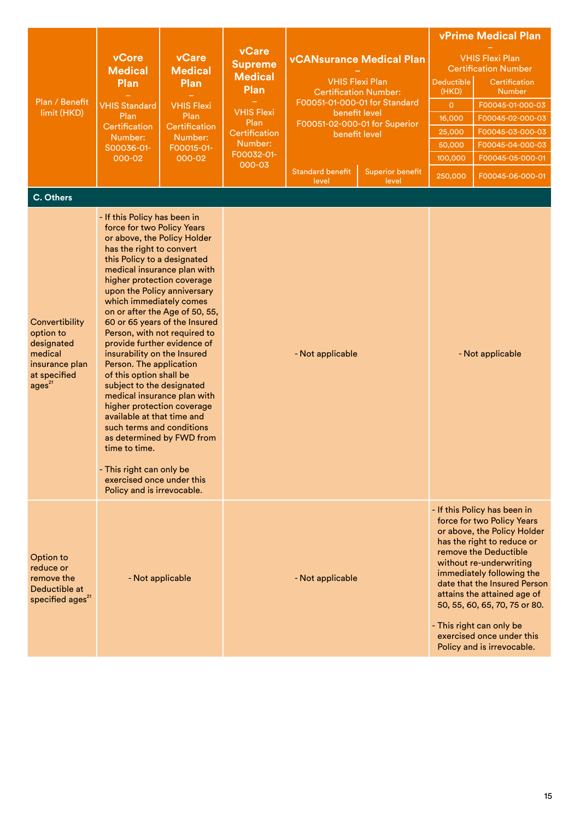|                                                                                                              | <b>vCore</b>                                                                                                                                                                                                                                                                                                                                                                                                                                                                                                                                                                                                                                                                                                                                                                                 | <b>vCare</b><br><b>Medical</b><br>Plan<br><b>VHIS Flexi</b><br>Plan<br>Certification<br>Number:<br>F00015-01-<br>000-02 | vCare<br><b>Supreme</b>                                                               | <b>vCANsurance Medical Plan</b><br><b>VHIS Flexi Plan</b><br><b>Certification Number:</b><br>F00051-01-000-01 for Standard<br>benefit level<br>F00051-02-000-01 for Superior |                         | <b>vPrime Medical Plan</b><br><b>VHIS Flexi Plan</b>              |                                                                                                                                                                                                                                                                                                                                                                                                 |  |  |
|--------------------------------------------------------------------------------------------------------------|----------------------------------------------------------------------------------------------------------------------------------------------------------------------------------------------------------------------------------------------------------------------------------------------------------------------------------------------------------------------------------------------------------------------------------------------------------------------------------------------------------------------------------------------------------------------------------------------------------------------------------------------------------------------------------------------------------------------------------------------------------------------------------------------|-------------------------------------------------------------------------------------------------------------------------|---------------------------------------------------------------------------------------|------------------------------------------------------------------------------------------------------------------------------------------------------------------------------|-------------------------|-------------------------------------------------------------------|-------------------------------------------------------------------------------------------------------------------------------------------------------------------------------------------------------------------------------------------------------------------------------------------------------------------------------------------------------------------------------------------------|--|--|
| Plan / Benefit<br>limit (HKD)                                                                                | <b>Medical</b><br>Plan<br><b>VHIS Standard</b><br>Plan<br>Certification<br>Number:<br>S00036-01-<br>000-02                                                                                                                                                                                                                                                                                                                                                                                                                                                                                                                                                                                                                                                                                   |                                                                                                                         | <b>Medical</b>                                                                        |                                                                                                                                                                              |                         | <b>Certification Number</b><br><b>Deductible</b><br>Certification |                                                                                                                                                                                                                                                                                                                                                                                                 |  |  |
|                                                                                                              |                                                                                                                                                                                                                                                                                                                                                                                                                                                                                                                                                                                                                                                                                                                                                                                              |                                                                                                                         | Plan<br><b>VHIS Flexi</b><br>Plan<br>Certification<br>Number:<br>F00032-01-<br>000-03 |                                                                                                                                                                              |                         | (HKD)                                                             | <b>Number</b>                                                                                                                                                                                                                                                                                                                                                                                   |  |  |
|                                                                                                              |                                                                                                                                                                                                                                                                                                                                                                                                                                                                                                                                                                                                                                                                                                                                                                                              |                                                                                                                         |                                                                                       |                                                                                                                                                                              |                         | $\overline{O}$                                                    | F00045-01-000-03                                                                                                                                                                                                                                                                                                                                                                                |  |  |
|                                                                                                              |                                                                                                                                                                                                                                                                                                                                                                                                                                                                                                                                                                                                                                                                                                                                                                                              |                                                                                                                         |                                                                                       |                                                                                                                                                                              |                         | 16,000<br>25,000                                                  | F00045-02-000-03                                                                                                                                                                                                                                                                                                                                                                                |  |  |
|                                                                                                              |                                                                                                                                                                                                                                                                                                                                                                                                                                                                                                                                                                                                                                                                                                                                                                                              |                                                                                                                         |                                                                                       |                                                                                                                                                                              | benefit level           |                                                                   | F00045-03-000-03<br>F00045-04-000-03                                                                                                                                                                                                                                                                                                                                                            |  |  |
|                                                                                                              |                                                                                                                                                                                                                                                                                                                                                                                                                                                                                                                                                                                                                                                                                                                                                                                              |                                                                                                                         |                                                                                       |                                                                                                                                                                              |                         | 50,000<br>100,000                                                 | F00045-05-000-01                                                                                                                                                                                                                                                                                                                                                                                |  |  |
|                                                                                                              |                                                                                                                                                                                                                                                                                                                                                                                                                                                                                                                                                                                                                                                                                                                                                                                              |                                                                                                                         |                                                                                       | <b>Standard benefit</b>                                                                                                                                                      | <b>Superior benefit</b> | 250,000                                                           | F00045-06-000-01                                                                                                                                                                                                                                                                                                                                                                                |  |  |
|                                                                                                              |                                                                                                                                                                                                                                                                                                                                                                                                                                                                                                                                                                                                                                                                                                                                                                                              |                                                                                                                         |                                                                                       | level                                                                                                                                                                        | level                   |                                                                   |                                                                                                                                                                                                                                                                                                                                                                                                 |  |  |
| C. Others                                                                                                    |                                                                                                                                                                                                                                                                                                                                                                                                                                                                                                                                                                                                                                                                                                                                                                                              |                                                                                                                         |                                                                                       |                                                                                                                                                                              |                         |                                                                   |                                                                                                                                                                                                                                                                                                                                                                                                 |  |  |
| Convertibility<br>option to<br>designated<br>medical<br>insurance plan<br>at specified<br>ages <sup>21</sup> | - If this Policy has been in<br>force for two Policy Years<br>or above, the Policy Holder<br>has the right to convert<br>this Policy to a designated<br>medical insurance plan with<br>higher protection coverage<br>upon the Policy anniversary<br>which immediately comes<br>on or after the Age of 50, 55,<br>60 or 65 years of the Insured<br>Person, with not required to<br>provide further evidence of<br>insurability on the Insured<br>Person. The application<br>of this option shall be<br>subject to the designated<br>medical insurance plan with<br>higher protection coverage<br>available at that time and<br>such terms and conditions<br>as determined by FWD from<br>time to time.<br>- This right can only be<br>exercised once under this<br>Policy and is irrevocable. |                                                                                                                         |                                                                                       | - Not applicable                                                                                                                                                             |                         |                                                                   | - Not applicable                                                                                                                                                                                                                                                                                                                                                                                |  |  |
| Option to<br>reduce or<br>remove the<br>Deductible at<br>specified ages <sup>21</sup>                        | - Not applicable                                                                                                                                                                                                                                                                                                                                                                                                                                                                                                                                                                                                                                                                                                                                                                             |                                                                                                                         |                                                                                       | - Not applicable                                                                                                                                                             |                         |                                                                   | - If this Policy has been in<br>force for two Policy Years<br>or above, the Policy Holder<br>has the right to reduce or<br>remove the Deductible<br>without re-underwriting<br>immediately following the<br>date that the Insured Person<br>attains the attained age of<br>50, 55, 60, 65, 70, 75 or 80.<br>- This right can only be<br>exercised once under this<br>Policy and is irrevocable. |  |  |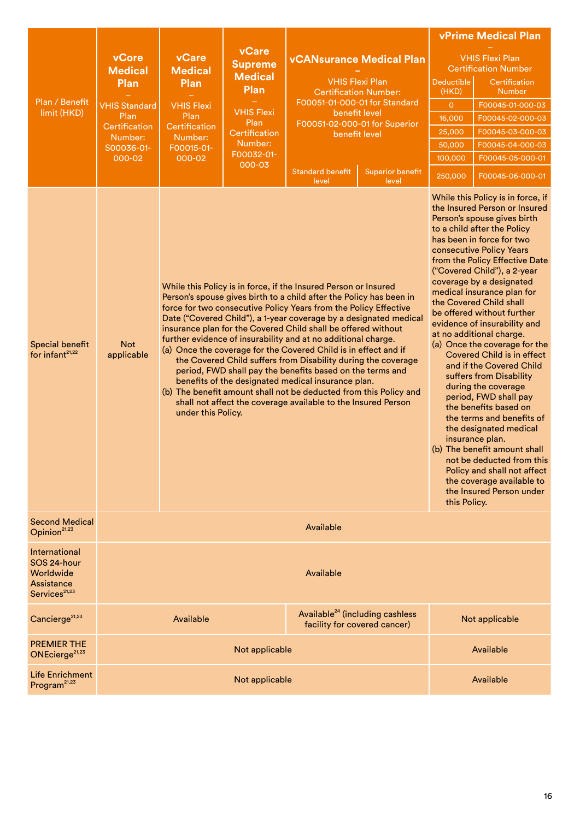|                                                                                             |                                                                                                                     |                                                                                                                                                                                                                                                                                                                                                                                                                                                                                                                                                                                                                                                                                                                                                                                                                                                        | vCare<br><b>Supreme</b><br><b>Medical</b><br>Plan<br><b>VHIS Flexi</b><br>Plan<br>Certification<br>Number:<br>F00032-01-<br>000-03 |                                                        |                                 | <b>vPrime Medical Plan</b>                            |                                                                                                                                                                                                                                                                                                                                                                                                                                                                                                                                                                                                                                                                                                                                                                                                                                                                                                |  |  |
|---------------------------------------------------------------------------------------------|---------------------------------------------------------------------------------------------------------------------|--------------------------------------------------------------------------------------------------------------------------------------------------------------------------------------------------------------------------------------------------------------------------------------------------------------------------------------------------------------------------------------------------------------------------------------------------------------------------------------------------------------------------------------------------------------------------------------------------------------------------------------------------------------------------------------------------------------------------------------------------------------------------------------------------------------------------------------------------------|------------------------------------------------------------------------------------------------------------------------------------|--------------------------------------------------------|---------------------------------|-------------------------------------------------------|------------------------------------------------------------------------------------------------------------------------------------------------------------------------------------------------------------------------------------------------------------------------------------------------------------------------------------------------------------------------------------------------------------------------------------------------------------------------------------------------------------------------------------------------------------------------------------------------------------------------------------------------------------------------------------------------------------------------------------------------------------------------------------------------------------------------------------------------------------------------------------------------|--|--|
| Plan / Benefit<br>limit (HKD)                                                               | vCore<br><b>Medical</b><br>Plan<br><b>VHIS Standard</b><br>Plan<br>Certification<br>Number:<br>S00036-01-<br>000-02 | <b>vCare</b><br><b>Medical</b><br>Plan<br><b>VHIS Flexi</b><br>Plan<br>Certification<br>Number:<br>F00015-01-<br>000-02                                                                                                                                                                                                                                                                                                                                                                                                                                                                                                                                                                                                                                                                                                                                |                                                                                                                                    |                                                        | <b>vCANsurance Medical Plan</b> | <b>VHIS Flexi Plan</b><br><b>Certification Number</b> |                                                                                                                                                                                                                                                                                                                                                                                                                                                                                                                                                                                                                                                                                                                                                                                                                                                                                                |  |  |
|                                                                                             |                                                                                                                     |                                                                                                                                                                                                                                                                                                                                                                                                                                                                                                                                                                                                                                                                                                                                                                                                                                                        |                                                                                                                                    | <b>VHIS Flexi Plan</b><br><b>Certification Number:</b> |                                 | <b>Deductible</b><br>(HKD)                            | Certification<br><b>Number</b>                                                                                                                                                                                                                                                                                                                                                                                                                                                                                                                                                                                                                                                                                                                                                                                                                                                                 |  |  |
|                                                                                             |                                                                                                                     |                                                                                                                                                                                                                                                                                                                                                                                                                                                                                                                                                                                                                                                                                                                                                                                                                                                        |                                                                                                                                    | F00051-01-000-01 for Standard<br>benefit level         |                                 | $\circ$                                               | F00045-01-000-03                                                                                                                                                                                                                                                                                                                                                                                                                                                                                                                                                                                                                                                                                                                                                                                                                                                                               |  |  |
|                                                                                             |                                                                                                                     |                                                                                                                                                                                                                                                                                                                                                                                                                                                                                                                                                                                                                                                                                                                                                                                                                                                        |                                                                                                                                    | F00051-02-000-01 for Superior                          |                                 | 16,000                                                | F00045-02-000-03                                                                                                                                                                                                                                                                                                                                                                                                                                                                                                                                                                                                                                                                                                                                                                                                                                                                               |  |  |
|                                                                                             |                                                                                                                     |                                                                                                                                                                                                                                                                                                                                                                                                                                                                                                                                                                                                                                                                                                                                                                                                                                                        |                                                                                                                                    | benefit level                                          |                                 | 25,000                                                | F00045-03-000-03                                                                                                                                                                                                                                                                                                                                                                                                                                                                                                                                                                                                                                                                                                                                                                                                                                                                               |  |  |
|                                                                                             |                                                                                                                     |                                                                                                                                                                                                                                                                                                                                                                                                                                                                                                                                                                                                                                                                                                                                                                                                                                                        |                                                                                                                                    |                                                        |                                 | 50,000<br>100,000                                     | F00045-04-000-03<br>F00045-05-000-01                                                                                                                                                                                                                                                                                                                                                                                                                                                                                                                                                                                                                                                                                                                                                                                                                                                           |  |  |
|                                                                                             |                                                                                                                     |                                                                                                                                                                                                                                                                                                                                                                                                                                                                                                                                                                                                                                                                                                                                                                                                                                                        |                                                                                                                                    | <b>Standard benefit</b>                                | <b>Superior benefit</b>         | 250,000                                               | F00045-06-000-01                                                                                                                                                                                                                                                                                                                                                                                                                                                                                                                                                                                                                                                                                                                                                                                                                                                                               |  |  |
| Special benefit<br>for infant $21,22$                                                       | <b>Not</b><br>applicable                                                                                            | level<br>level<br>While this Policy is in force, if the Insured Person or Insured<br>Person's spouse gives birth to a child after the Policy has been in<br>force for two consecutive Policy Years from the Policy Effective<br>Date ("Covered Child"), a 1-year coverage by a designated medical<br>insurance plan for the Covered Child shall be offered without<br>further evidence of insurability and at no additional charge.<br>(a) Once the coverage for the Covered Child is in effect and if<br>the Covered Child suffers from Disability during the coverage<br>period, FWD shall pay the benefits based on the terms and<br>benefits of the designated medical insurance plan.<br>(b) The benefit amount shall not be deducted from this Policy and<br>shall not affect the coverage available to the Insured Person<br>under this Policy. |                                                                                                                                    |                                                        |                                 |                                                       | While this Policy is in force, if<br>the Insured Person or Insured<br>Person's spouse gives birth<br>to a child after the Policy<br>has been in force for two<br>consecutive Policy Years<br>from the Policy Effective Date<br>("Covered Child"), a 2-year<br>coverage by a designated<br>medical insurance plan for<br>the Covered Child shall<br>be offered without further<br>evidence of insurability and<br>at no additional charge.<br>(a) Once the coverage for the<br><b>Covered Child is in effect</b><br>and if the Covered Child<br>suffers from Disability<br>during the coverage<br>period, FWD shall pay<br>the benefits based on<br>the terms and benefits of<br>the designated medical<br>insurance plan.<br>(b) The benefit amount shall<br>not be deducted from this<br>Policy and shall not affect<br>the coverage available to<br>the Insured Person under<br>this Policy. |  |  |
| <b>Second Medical</b><br>Opinion <sup>21,23</sup>                                           |                                                                                                                     | Available                                                                                                                                                                                                                                                                                                                                                                                                                                                                                                                                                                                                                                                                                                                                                                                                                                              |                                                                                                                                    |                                                        |                                 |                                                       |                                                                                                                                                                                                                                                                                                                                                                                                                                                                                                                                                                                                                                                                                                                                                                                                                                                                                                |  |  |
| <b>International</b><br>SOS 24-hour<br>Worldwide<br>Assistance<br>Services <sup>21,23</sup> |                                                                                                                     | Available                                                                                                                                                                                                                                                                                                                                                                                                                                                                                                                                                                                                                                                                                                                                                                                                                                              |                                                                                                                                    |                                                        |                                 |                                                       |                                                                                                                                                                                                                                                                                                                                                                                                                                                                                                                                                                                                                                                                                                                                                                                                                                                                                                |  |  |
| Cancierge <sup>21,23</sup>                                                                  |                                                                                                                     | Available <sup>24</sup> (including cashless<br>Available<br>facility for covered cancer)                                                                                                                                                                                                                                                                                                                                                                                                                                                                                                                                                                                                                                                                                                                                                               |                                                                                                                                    |                                                        |                                 | Not applicable                                        |                                                                                                                                                                                                                                                                                                                                                                                                                                                                                                                                                                                                                                                                                                                                                                                                                                                                                                |  |  |
| <b>PREMIER THE</b><br>ONEcierge <sup>21,23</sup>                                            |                                                                                                                     | Not applicable                                                                                                                                                                                                                                                                                                                                                                                                                                                                                                                                                                                                                                                                                                                                                                                                                                         |                                                                                                                                    |                                                        |                                 | Available                                             |                                                                                                                                                                                                                                                                                                                                                                                                                                                                                                                                                                                                                                                                                                                                                                                                                                                                                                |  |  |
| <b>Life Enrichment</b><br>Program <sup>21,23</sup>                                          | Not applicable                                                                                                      |                                                                                                                                                                                                                                                                                                                                                                                                                                                                                                                                                                                                                                                                                                                                                                                                                                                        |                                                                                                                                    |                                                        |                                 |                                                       | Available                                                                                                                                                                                                                                                                                                                                                                                                                                                                                                                                                                                                                                                                                                                                                                                                                                                                                      |  |  |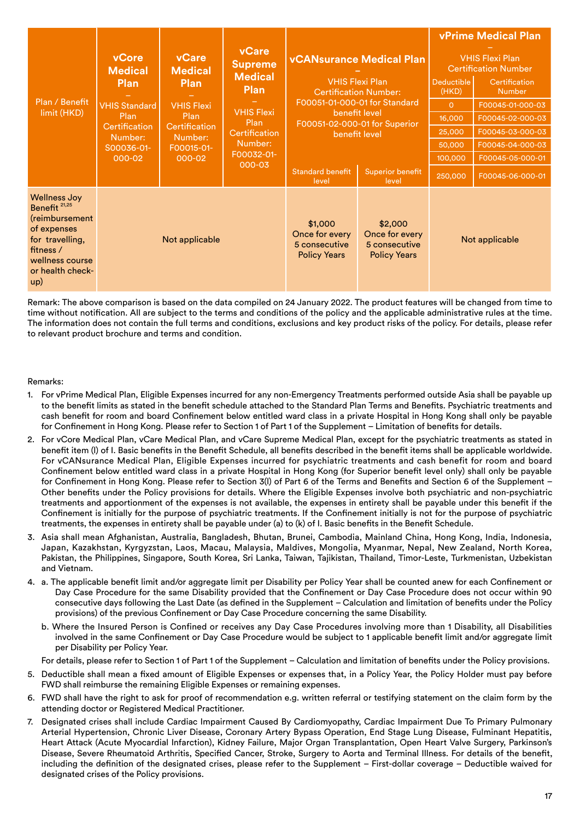| Plan / Benefit<br>limit (HKD)                                                                                                                                  | vCore<br><b>Medical</b><br><b>Plan</b><br><b>VHIS Standard</b><br>Plan<br><b>Certification</b><br>Number:<br>S00036-01-<br>$000 - 02$ | vCare<br><b>vCare</b><br><b>vCANsurance Medical Plan</b><br><b>Supreme</b><br><b>Medical</b><br><b>Medical</b><br><b>VHIS Flexi Plan</b><br><b>Plan</b><br><b>Plan</b><br><b>Certification Number:</b><br>F00051-01-000-01 for Standard<br><b>VHIS Flexi</b><br><b>VHIS Flexi</b><br>benefit level<br>Plan<br>Plan<br>F00051-02-000-01 for Superior<br>Certification<br>Certification<br>benefit level<br>Number:<br>Number:<br>F00015-01-<br>F00032-01-<br>$000 - 02$<br>000-03<br><b>Standard benefit</b><br>level |  | <b>Superior benefit</b><br>level                                  | Deductible<br>(HKD)<br>$\Omega$<br>16,000<br>25,000<br>50,000<br>100,000<br>250,000 | <b>vPrime Medical Plan</b><br><b>VHIS Flexi Plan</b><br><b>Certification Number</b><br>Certification<br><b>Number</b><br>F00045-01-000-03<br>F00045-02-000-03<br>F00045-03-000-03<br>F00045-04-000-03<br>F00045-05-000-01<br>F00045-06-000-01 |  |
|----------------------------------------------------------------------------------------------------------------------------------------------------------------|---------------------------------------------------------------------------------------------------------------------------------------|----------------------------------------------------------------------------------------------------------------------------------------------------------------------------------------------------------------------------------------------------------------------------------------------------------------------------------------------------------------------------------------------------------------------------------------------------------------------------------------------------------------------|--|-------------------------------------------------------------------|-------------------------------------------------------------------------------------|-----------------------------------------------------------------------------------------------------------------------------------------------------------------------------------------------------------------------------------------------|--|
| <b>Wellness Joy</b><br>Benefit <sup>21,25</sup><br>(reimbursement<br>of expenses<br>for travelling,<br>fitness /<br>wellness course<br>or health check-<br>up) | Not applicable                                                                                                                        |                                                                                                                                                                                                                                                                                                                                                                                                                                                                                                                      |  | \$1,000<br>Once for every<br>5 consecutive<br><b>Policy Years</b> | \$2,000<br>Once for every<br>5 consecutive<br><b>Policy Years</b>                   | Not applicable                                                                                                                                                                                                                                |  |

Remark: The above comparison is based on the data compiled on 24 January 2022. The product features will be changed from time to time without notification. All are subject to the terms and conditions of the policy and the applicable administrative rules at the time. The information does not contain the full terms and conditions, exclusions and key product risks of the policy. For details, please refer to relevant product brochure and terms and condition.

## Remarks:

- 1. For vPrime Medical Plan, Eligible Expenses incurred for any non-Emergency Treatments performed outside Asia shall be payable up to the benefit limits as stated in the benefit schedule attached to the Standard Plan Terms and Benefits. Psychiatric treatments and cash benefit for room and board Confinement below entitled ward class in a private Hospital in Hong Kong shall only be payable for Confinement in Hong Kong. Please refer to Section 1 of Part 1 of the Supplement – Limitation of benefits for details.
- 2. For vCore Medical Plan, vCare Medical Plan, and vCare Supreme Medical Plan, except for the psychiatric treatments as stated in benefit item (l) of I. Basic benefits in the Benefit Schedule, all benefits described in the benefit items shall be applicable worldwide. For vCANsurance Medical Plan, Eligible Expenses incurred for psychiatric treatments and cash benefit for room and board Confinement below entitled ward class in a private Hospital in Hong Kong (for Superior benefit level only) shall only be payable for Confinement in Hong Kong. Please refer to Section 3(l) of Part 6 of the Terms and Benefits and Section 6 of the Supplement – Other benefits under the Policy provisions for details. Where the Eligible Expenses involve both psychiatric and non-psychiatric treatments and apportionment of the expenses is not available, the expenses in entirety shall be payable under this benefit if the Confinement is initially for the purpose of psychiatric treatments. If the Confinement initially is not for the purpose of psychiatric treatments, the expenses in entirety shall be payable under (a) to (k) of I. Basic benefits in the Benefit Schedule.
- 3. Asia shall mean Afghanistan, Australia, Bangladesh, Bhutan, Brunei, Cambodia, Mainland China, Hong Kong, India, Indonesia, Japan, Kazakhstan, Kyrgyzstan, Laos, Macau, Malaysia, Maldives, Mongolia, Myanmar, Nepal, New Zealand, North Korea, Pakistan, the Philippines, Singapore, South Korea, Sri Lanka, Taiwan, Tajikistan, Thailand, Timor-Leste, Turkmenistan, Uzbekistan and Vietnam.
- 4. a. The applicable benefit limit and/or aggregate limit per Disability per Policy Year shall be counted anew for each Confinement or Day Case Procedure for the same Disability provided that the Confinement or Day Case Procedure does not occur within 90 consecutive days following the Last Date (as defined in the Supplement – Calculation and limitation of benefits under the Policy provisions) of the previous Confinement or Day Case Procedure concerning the same Disability.
	- b. Where the Insured Person is Confined or receives any Day Case Procedures involving more than 1 Disability, all Disabilities involved in the same Confinement or Day Case Procedure would be subject to 1 applicable benefit limit and/or aggregate limit per Disability per Policy Year.

For details, please refer to Section 1 of Part 1 of the Supplement – Calculation and limitation of benefits under the Policy provisions.

- 5. Deductible shall mean a fixed amount of Eligible Expenses or expenses that, in a Policy Year, the Policy Holder must pay before FWD shall reimburse the remaining Eligible Expenses or remaining expenses.
- 6. FWD shall have the right to ask for proof of recommendation e.g. written referral or testifying statement on the claim form by the attending doctor or Registered Medical Practitioner.
- 7. Designated crises shall include Cardiac Impairment Caused By Cardiomyopathy, Cardiac Impairment Due To Primary Pulmonary Arterial Hypertension, Chronic Liver Disease, Coronary Artery Bypass Operation, End Stage Lung Disease, Fulminant Hepatitis, Heart Attack (Acute Myocardial Infarction), Kidney Failure, Major Organ Transplantation, Open Heart Valve Surgery, Parkinson's Disease, Severe Rheumatoid Arthritis, Specified Cancer, Stroke, Surgery to Aorta and Terminal Illness. For details of the benefit, including the definition of the designated crises, please refer to the Supplement – First-dollar coverage – Deductible waived for designated crises of the Policy provisions.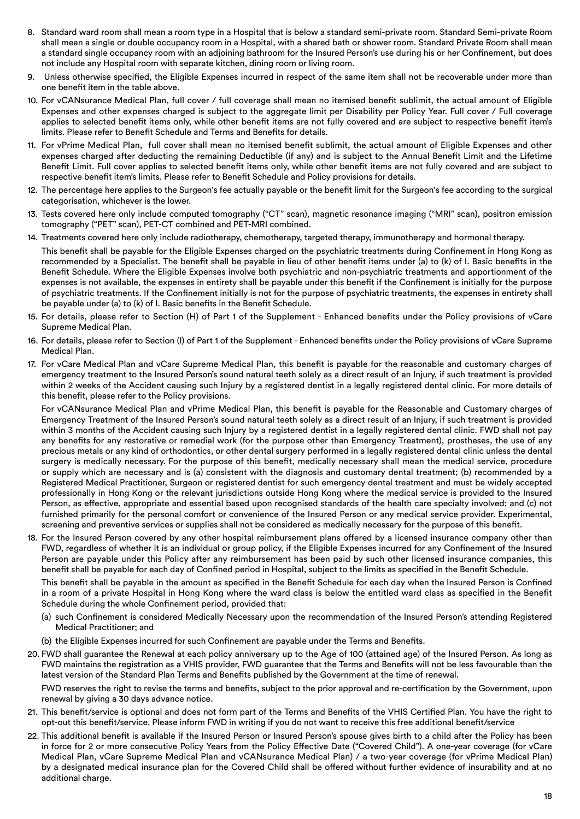- 8. Standard ward room shall mean a room type in a Hospital that is below a standard semi-private room. Standard Semi-private Room shall mean a single or double occupancy room in a Hospital, with a shared bath or shower room. Standard Private Room shall mean a standard single occupancy room with an adjoining bathroom for the Insured Person's use during his or her Confinement, but does not include any Hospital room with separate kitchen, dining room or living room.
- 9. Unless otherwise specified, the Eligible Expenses incurred in respect of the same item shall not be recoverable under more than one benefit item in the table above.
- 10. For vCANsurance Medical Plan, full cover / full coverage shall mean no itemised benefit sublimit, the actual amount of Eligible Expenses and other expenses charged is subject to the aggregate limit per Disability per Policy Year. Full cover / Full coverage applies to selected benefit items only, while other benefit items are not fully covered and are subject to respective benefit item's limits. Please refer to Benefit Schedule and Terms and Benefits for details.
- 11. For vPrime Medical Plan, full cover shall mean no itemised benefit sublimit, the actual amount of Eligible Expenses and other expenses charged after deducting the remaining Deductible (if any) and is subject to the Annual Benefit Limit and the Lifetime Benefit Limit. Full cover applies to selected benefit items only, while other benefit items are not fully covered and are subject to respective benefit item's limits. Please refer to Benefit Schedule and Policy provisions for details.
- 12. The percentage here applies to the Surgeon's fee actually payable or the benefit limit for the Surgeon's fee according to the surgical categorisation, whichever is the lower.
- 13. Tests covered here only include computed tomography ("CT" scan), magnetic resonance imaging ("MRI" scan), positron emission tomography ("PET" scan), PET-CT combined and PET-MRI combined.
- 14. Treatments covered here only include radiotherapy, chemotherapy, targeted therapy, immunotherapy and hormonal therapy.
- This benefit shall be payable for the Eligible Expenses charged on the psychiatric treatments during Confinement in Hong Kong as recommended by a Specialist. The benefit shall be payable in lieu of other benefit items under (a) to (k) of I. Basic benefits in the Benefit Schedule. Where the Eligible Expenses involve both psychiatric and non-psychiatric treatments and apportionment of the expenses is not available, the expenses in entirety shall be payable under this benefit if the Confinement is initially for the purpose of psychiatric treatments. If the Confinement initially is not for the purpose of psychiatric treatments, the expenses in entirety shall be payable under (a) to (k) of I. Basic benefits in the Benefit Schedule.
- 15. For details, please refer to Section (H) of Part 1 of the Supplement Enhanced benefits under the Policy provisions of vCare Supreme Medical Plan.
- 16. For details, please refer to Section (I) of Part 1 of the Supplement Enhanced benefits under the Policy provisions of vCare Supreme Medical Plan.
- 17. For vCare Medical Plan and vCare Supreme Medical Plan, this benefit is payable for the reasonable and customary charges of emergency treatment to the Insured Person's sound natural teeth solely as a direct result of an Injury, if such treatment is provided within 2 weeks of the Accident causing such Injury by a registered dentist in a legally registered dental clinic. For more details of this benefit, please refer to the Policy provisions.

For vCANsurance Medical Plan and vPrime Medical Plan, this benefit is payable for the Reasonable and Customary charges of Emergency Treatment of the Insured Person's sound natural teeth solely as a direct result of an Injury, if such treatment is provided within 3 months of the Accident causing such Injury by a registered dentist in a legally registered dental clinic. FWD shall not pay any benefits for any restorative or remedial work (for the purpose other than Emergency Treatment), prostheses, the use of any precious metals or any kind of orthodontics, or other dental surgery performed in a legally registered dental clinic unless the dental surgery is medically necessary. For the purpose of this benefit, medically necessary shall mean the medical service, procedure or supply which are necessary and is (a) consistent with the diagnosis and customary dental treatment; (b) recommended by a Registered Medical Practitioner, Surgeon or registered dentist for such emergency dental treatment and must be widely accepted professionally in Hong Kong or the relevant jurisdictions outside Hong Kong where the medical service is provided to the Insured Person, as effective, appropriate and essential based upon recognised standards of the health care specialty involved; and (c) not furnished primarily for the personal comfort or convenience of the Insured Person or any medical service provider. Experimental, screening and preventive services or supplies shall not be considered as medically necessary for the purpose of this benefit.

18. For the Insured Person covered by any other hospital reimbursement plans offered by a licensed insurance company other than FWD, regardless of whether it is an individual or group policy, if the Eligible Expenses incurred for any Confinement of the Insured Person are payable under this Policy after any reimbursement has been paid by such other licensed insurance companies, this benefit shall be payable for each day of Confined period in Hospital, subject to the limits as specified in the Benefit Schedule.

This benefit shall be payable in the amount as specified in the Benefit Schedule for each day when the Insured Person is Confined in a room of a private Hospital in Hong Kong where the ward class is below the entitled ward class as specified in the Benefit Schedule during the whole Confinement period, provided that:

- (a) such Confinement is considered Medically Necessary upon the recommendation of the Insured Person's attending Registered Medical Practitioner; and
- (b) the Eligible Expenses incurred for such Confinement are payable under the Terms and Benefits.
- 20. FWD shall guarantee the Renewal at each policy anniversary up to the Age of 100 (attained age) of the Insured Person. As long as FWD maintains the registration as a VHIS provider, FWD guarantee that the Terms and Benefits will not be less favourable than the latest version of the Standard Plan Terms and Benefits published by the Government at the time of renewal.

FWD reserves the right to revise the terms and benefits, subject to the prior approval and re-certification by the Government, upon renewal by giving a 30 days advance notice.

- 21. This benefit/service is optional and does not form part of the Terms and Benefits of the VHIS Certified Plan. You have the right to opt-out this benefit/service. Please inform FWD in writing if you do not want to receive this free additional benefit/service
- 22. This additional benefit is available if the Insured Person or Insured Person's spouse gives birth to a child after the Policy has been in force for 2 or more consecutive Policy Years from the Policy Effective Date ("Covered Child"). A one-year coverage (for vCare Medical Plan, vCare Supreme Medical Plan and vCANsurance Medical Plan) / a two-year coverage (for vPrime Medical Plan) by a designated medical insurance plan for the Covered Child shall be offered without further evidence of insurability and at no additional charge.